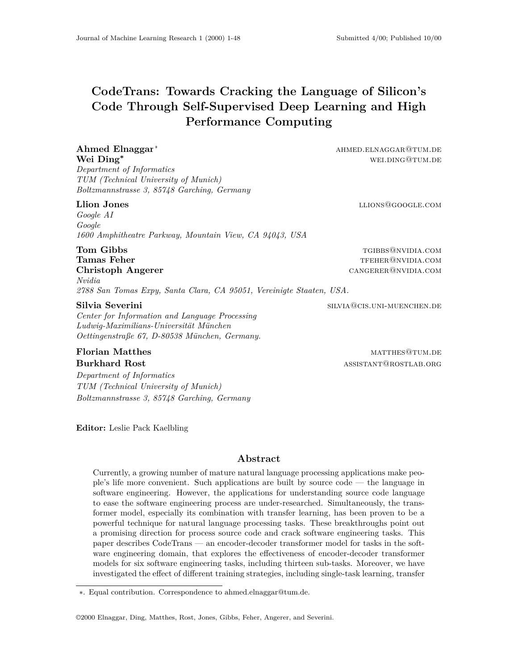# **CodeTrans: Towards Cracking the Language of Silicon's Code Through Self-Supervised Deep Learning and High Performance Computing**

#### **Ahmed Elnaggar<sup>\*</sup>** ahmed ahmed and a annual and a annual and a set of a set of a set of a set of a set of a set of a set of a set of a set of a set of a set of a set of a set of a set of a set of a set of a set of a set **Wei Ding<sup>∗</sup>** well bing®tum.de

*Department of Informatics TUM (Technical University of Munich) Boltzmannstrasse 3, 85748 Garching, Germany*

#### **Llion Jones llions llions llions llions llions llions llions llions llions llions llions llions llions llions llions llions llions llions llions llions llions llions llions**

*Google AI Google 1600 Amphitheatre Parkway, Mountain View, CA 94043, USA*

**Tom Gibbs** the complete of the complete of the complete of the complete of the complete of the complete of the complete of the complete of the complete of the complete of the complete of the complete of the complete of th **Tamas Feher Tamas Feher** the state of the state of the state of the state of the state of the state of the state of the state of the state of the state of the state of the state of the state of the state of the state of **Christoph Angerer** cangerer@nvidia.com *Nvidia*

*2788 San Tomas Expy, Santa Clara, CA 95051, Vereinigte Staaten, USA.*

#### **Silvia Severini** silvia Severini silvia Severini silvia Severini silvia Severini silvia Severini silvia Severin

*Center for Information and Language Processing Ludwig-Maximilians-Universit¨at M¨unchen Oettingenstraße 67, D-80538 M¨unchen, Germany.*

**Florian Matthes** matthes matthew matthew matthew matthew matthew matthew matthew matthew matthew matthew matthew matthew matthew matthew matthew matthew matthew matthew matthew matthew matthew matthew matthew matthew matt **Burkhard Rost** and the set of the set of the set of the set of the set of the set of the set of the set of the set of the set of the set of the set of the set of the set of the set of the set of the set of the set of the

*Department of Informatics TUM (Technical University of Munich) Boltzmannstrasse 3, 85748 Garching, Germany*

**Editor:** Leslie Pack Kaelbling

#### **Abstract**

Currently, a growing number of mature natural language processing applications make people's life more convenient. Such applications are built by source code — the language in software engineering. However, the applications for understanding source code language to ease the software engineering process are under-researched. Simultaneously, the transformer model, especially its combination with transfer learning, has been proven to be a powerful technique for natural language processing tasks. These breakthroughs point out a promising direction for process source code and crack software engineering tasks. This paper describes CodeTrans — an encoder-decoder transformer model for tasks in the software engineering domain, that explores the effectiveness of encoder-decoder transformer models for six software engineering tasks, including thirteen sub-tasks. Moreover, we have investigated the effect of different training strategies, including single-task learning, transfer

©2000 Elnaggar, Ding, Matthes, Rost, Jones, Gibbs, Feher, Angerer, and Severini.

<sup>∗.</sup> Equal contribution. Correspondence to ahmed.elnaggar@tum.de.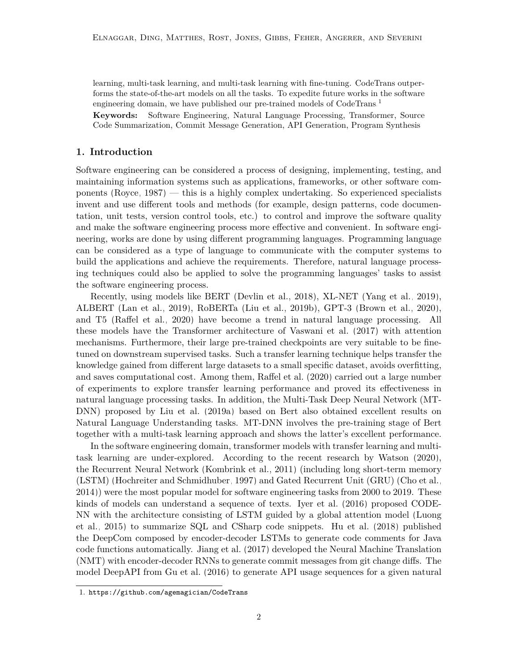learning, multi-task learning, and multi-task learning with fine-tuning. CodeTrans outperforms the state-of-the-art models on all the tasks. To expedite future works in the software engineering domain, we have published our pre-trained models of CodeTrans.<sup>[1](#page-1-0)</sup>

**Keywords:** Software Engineering, Natural Language Processing, Transformer, Source Code Summarization, Commit Message Generation, API Generation, Program Synthesis

#### **1. Introduction**

Software engineering can be considered a process of designing, implementing, testing, and maintaining information systems such as applications, frameworks, or other software components [\(Royce, 1987\)](#page-26-0) — this is a highly complex undertaking. So experienced specialists invent and use different tools and methods (for example, design patterns, code documentation, unit tests, version control tools, etc.) to control and improve the software quality and make the software engineering process more effective and convenient. In software engineering, works are done by using different programming languages. Programming language can be considered as a type of language to communicate with the computer systems to build the applications and achieve the requirements. Therefore, natural language processing techniques could also be applied to solve the programming languages' tasks to assist the software engineering process.

Recently, using models like BERT [\(Devlin et al., 2018\)](#page-25-0), XL-NET [\(Yang et al., 2019\)](#page-27-0), ALBERT [\(Lan et al., 2019\)](#page-26-1), RoBERTa [\(Liu et al., 2019b\)](#page-26-2), GPT-3 [\(Brown et al., 2020\)](#page-24-0), and T5 [\(Raffel et al., 2020\)](#page-26-3) have become a trend in natural language processing. All these models have the Transformer architecture of [Vaswani et al.](#page-27-1) [\(2017\)](#page-27-1) with attention mechanisms. Furthermore, their large pre-trained checkpoints are very suitable to be finetuned on downstream supervised tasks. Such a transfer learning technique helps transfer the knowledge gained from different large datasets to a small specific dataset, avoids overfitting, and saves computational cost. Among them, [Raffel et al.](#page-26-3) [\(2020\)](#page-26-3) carried out a large number of experiments to explore transfer learning performance and proved its effectiveness in natural language processing tasks. In addition, the Multi-Task Deep Neural Network (MT-DNN) proposed by [Liu et al.](#page-26-4) [\(2019a\)](#page-26-4) based on Bert also obtained excellent results on Natural Language Understanding tasks. MT-DNN involves the pre-training stage of Bert together with a multi-task learning approach and shows the latter's excellent performance.

In the software engineering domain, transformer models with transfer learning and multitask learning are under-explored. According to the recent research by [Watson](#page-27-2) [\(2020\)](#page-27-2), the Recurrent Neural Network [\(Kombrink et al., 2011\)](#page-25-1) (including long short-term memory (LSTM) [\(Hochreiter and Schmidhuber, 1997\)](#page-25-2) and Gated Recurrent Unit (GRU) [\(Cho et al.,](#page-25-3) [2014\)](#page-25-3)) were the most popular model for software engineering tasks from 2000 to 2019. These kinds of models can understand a sequence of texts. [Iyer et al.](#page-25-4) [\(2016\)](#page-25-4) proposed CODE-NN with the architecture consisting of LSTM guided by a global attention model [\(Luong](#page-26-5) [et al., 2015\)](#page-26-5) to summarize SQL and CSharp code snippets. [Hu et al.](#page-25-5) [\(2018\)](#page-25-5) published the DeepCom composed by encoder-decoder LSTMs to generate code comments for Java code functions automatically. [Jiang et al.](#page-25-6) [\(2017\)](#page-25-6) developed the Neural Machine Translation (NMT) with encoder-decoder RNNs to generate commit messages from git change diffs. The model DeepAPI from [Gu et al.](#page-25-7) [\(2016\)](#page-25-7) to generate API usage sequences for a given natural

<span id="page-1-0"></span><sup>1.</sup> <https://github.com/agemagician/CodeTrans>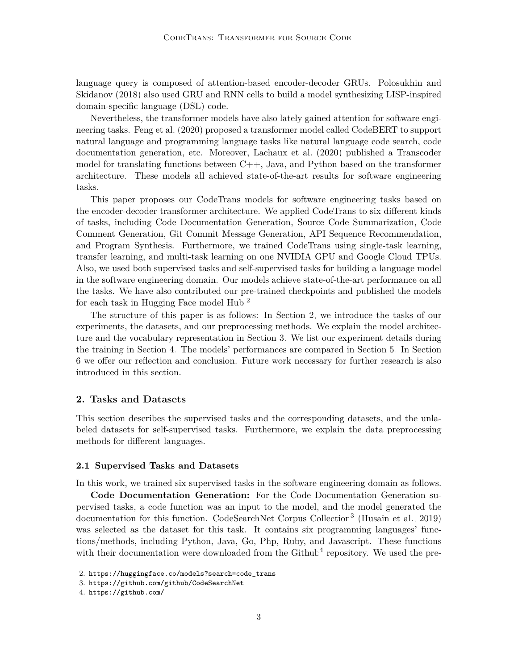language query is composed of attention-based encoder-decoder GRUs. [Polosukhin and](#page-26-6) [Skidanov](#page-26-6) [\(2018\)](#page-26-6) also used GRU and RNN cells to build a model synthesizing LISP-inspired domain-specific language (DSL) code.

Nevertheless, the transformer models have also lately gained attention for software engineering tasks. [Feng et al.](#page-25-8) [\(2020\)](#page-25-8) proposed a transformer model called CodeBERT to support natural language and programming language tasks like natural language code search, code documentation generation, etc. Moreover, [Lachaux et al.](#page-25-9) [\(2020\)](#page-25-9) published a Transcoder model for translating functions between C++, Java, and Python based on the transformer architecture. These models all achieved state-of-the-art results for software engineering tasks.

This paper proposes our CodeTrans models for software engineering tasks based on the encoder-decoder transformer architecture. We applied CodeTrans to six different kinds of tasks, including Code Documentation Generation, Source Code Summarization, Code Comment Generation, Git Commit Message Generation, API Sequence Recommendation, and Program Synthesis. Furthermore, we trained CodeTrans using single-task learning, transfer learning, and multi-task learning on one NVIDIA GPU and Google Cloud TPUs. Also, we used both supervised tasks and self-supervised tasks for building a language model in the software engineering domain. Our models achieve state-of-the-art performance on all the tasks. We have also contributed our pre-trained checkpoints and published the models for each task in Hugging Face model Hub.[2](#page-2-0)

The structure of this paper is as follows: In Section [2,](#page-2-1) we introduce the tasks of our experiments, the datasets, and our preprocessing methods. We explain the model architecture and the vocabulary representation in Section [3.](#page-7-0) We list our experiment details during the training in Section [4.](#page-9-0) The models' performances are compared in Section [5.](#page-12-0) In Section [6](#page-15-0) we offer our reflection and conclusion. Future work necessary for further research is also introduced in this section.

#### <span id="page-2-1"></span>**2. Tasks and Datasets**

This section describes the supervised tasks and the corresponding datasets, and the unlabeled datasets for self-supervised tasks. Furthermore, we explain the data preprocessing methods for different languages.

#### **2.1 Supervised Tasks and Datasets**

In this work, we trained six supervised tasks in the software engineering domain as follows.

**Code Documentation Generation:** For the Code Documentation Generation supervised tasks, a code function was an input to the model, and the model generated the documentation for this function. CodeSearchNet Corpus Collection<sup>[3](#page-2-2)</sup> [\(Husain et al., 2019\)](#page-25-10) was selected as the dataset for this task. It contains six programming languages' functions/methods, including Python, Java, Go, Php, Ruby, and Javascript. These functions with their documentation were downloaded from the  $\text{Github}^4$  $\text{Github}^4$  repository. We used the pre-

<span id="page-2-0"></span><sup>2.</sup> [https://huggingface.co/models?search=code\\_trans](https://huggingface.co/models?search=code_trans)

<span id="page-2-2"></span><sup>3.</sup> <https://github.com/github/CodeSearchNet>

<span id="page-2-3"></span><sup>4.</sup> <https://github.com/>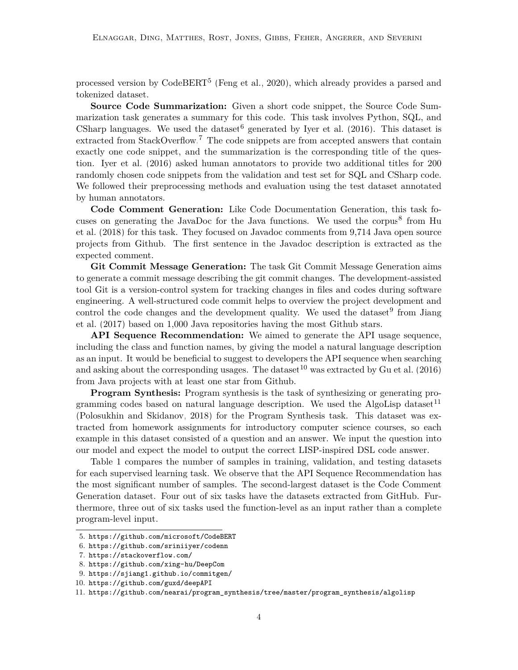processed version by CodeBERT<sup>[5](#page-3-0)</sup> [\(Feng et al., 2020\)](#page-25-8), which already provides a parsed and tokenized dataset.

**Source Code Summarization:** Given a short code snippet, the Source Code Summarization task generates a summary for this code. This task involves Python, SQL, and CSharp languages. We used the dataset<sup>[6](#page-3-1)</sup> generated by [Iyer et al.](#page-25-4)  $(2016)$ . This dataset is extracted from StackOverflow.<sup>[7](#page-3-2)</sup> The code snippets are from accepted answers that contain exactly one code snippet, and the summarization is the corresponding title of the question. [Iyer et al.](#page-25-4) [\(2016\)](#page-25-4) asked human annotators to provide two additional titles for 200 randomly chosen code snippets from the validation and test set for SQL and CSharp code. We followed their preprocessing methods and evaluation using the test dataset annotated by human annotators.

**Code Comment Generation:** Like Code Documentation Generation, this task fo-cuses on generating the JavaDoc for the Java functions. We used the corpus<sup>[8](#page-3-3)</sup> from [Hu](#page-25-5) [et al.](#page-25-5) [\(2018\)](#page-25-5) for this task. They focused on Javadoc comments from 9,714 Java open source projects from Github. The first sentence in the Javadoc description is extracted as the expected comment.

**Git Commit Message Generation:** The task Git Commit Message Generation aims to generate a commit message describing the git commit changes. The development-assisted tool Git is a version-control system for tracking changes in files and codes during software engineering. A well-structured code commit helps to overview the project development and control the code changes and the development quality. We used the dataset<sup>[9](#page-3-4)</sup> from [Jiang](#page-25-6) [et al.](#page-25-6) [\(2017\)](#page-25-6) based on 1,000 Java repositories having the most Github stars.

**API Sequence Recommendation:** We aimed to generate the API usage sequence, including the class and function names, by giving the model a natural language description as an input. It would be beneficial to suggest to developers the API sequence when searching and asking about the corresponding usages. The dataset  $10$  was extracted by [Gu et al.](#page-25-7) [\(2016\)](#page-25-7) from Java projects with at least one star from Github.

**Program Synthesis:** Program synthesis is the task of synthesizing or generating pro-gramming codes based on natural language description. We used the AlgoLisp dataset<sup>[11](#page-3-6)</sup> [\(Polosukhin and Skidanov, 2018\)](#page-26-6) for the Program Synthesis task. This dataset was extracted from homework assignments for introductory computer science courses, so each example in this dataset consisted of a question and an answer. We input the question into our model and expect the model to output the correct LISP-inspired DSL code answer.

[Table 1](#page-4-0) compares the number of samples in training, validation, and testing datasets for each supervised learning task. We observe that the API Sequence Recommendation has the most significant number of samples. The second-largest dataset is the Code Comment Generation dataset. Four out of six tasks have the datasets extracted from GitHub. Furthermore, three out of six tasks used the function-level as an input rather than a complete program-level input.

<span id="page-3-0"></span><sup>5.</sup> <https://github.com/microsoft/CodeBERT>

<span id="page-3-1"></span><sup>6.</sup> <https://github.com/sriniiyer/codenn>

<span id="page-3-2"></span><sup>7.</sup> <https://stackoverflow.com/>

<span id="page-3-3"></span><sup>8.</sup> <https://github.com/xing-hu/DeepCom>

<span id="page-3-5"></span><span id="page-3-4"></span><sup>9.</sup> <https://sjiang1.github.io/commitgen/>

<sup>10.</sup> <https://github.com/guxd/deepAPI>

<span id="page-3-6"></span><sup>11.</sup> [https://github.com/nearai/program\\_synthesis/tree/master/program\\_synthesis/algolisp](https://github.com/nearai/program_synthesis/tree/master/program_synthesis/algolisp)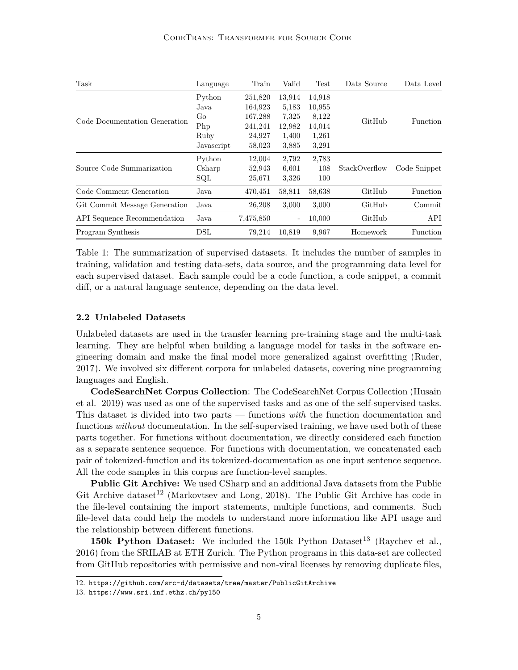<span id="page-4-0"></span>

| Task                          | Language   | Train     | Valid             | <b>Test</b> | Data Source   | Data Level   |
|-------------------------------|------------|-----------|-------------------|-------------|---------------|--------------|
|                               | Python     | 251,820   | 13,914            | 14,918      |               |              |
|                               | Java       | 164,923   | 5,183             | 10,955      |               |              |
| Code Documentation Generation | Go         | 167,288   | 7,325             | 8,122       | GitHub        | Function     |
|                               | Php        | 241,241   | 12,982            | 14,014      |               |              |
|                               | Ruby       | 24,927    | 1,400             | 1,261       |               |              |
|                               | Javascript | 58,023    | 3,885             | 3,291       |               |              |
|                               | Python     | 12,004    | 2,792             | 2,783       |               |              |
| Source Code Summarization     | Csharp     | 52,943    | 6,601             | 108         | StackOverflow | Code Snippet |
|                               | SQL        | 25,671    | 3,326             | 100         |               |              |
| Code Comment Generation       | Java       | 470,451   | 58,811            | 58,638      | GitHub        | Function     |
| Git Commit Message Generation | Java       | 26,208    | 3,000             | 3,000       | GitHub        | Commit       |
| API Sequence Recommendation   | Java       | 7,475,850 | $\qquad \qquad -$ | 10,000      | GitHub        | API          |
| Program Synthesis             | $\rm{DSL}$ | 79.214    | 10.819            | 9,967       | Homework      | Function     |

Table 1: The summarization of supervised datasets. It includes the number of samples in training, validation and testing data-sets, data source, and the programming data level for each supervised dataset. Each sample could be a code function, a code snippet, a commit diff, or a natural language sentence, depending on the data level.

#### **2.2 Unlabeled Datasets**

Unlabeled datasets are used in the transfer learning pre-training stage and the multi-task learning. They are helpful when building a language model for tasks in the software engineering domain and make the final model more generalized against overfitting [\(Ruder,](#page-26-7) [2017\)](#page-26-7). We involved six different corpora for unlabeled datasets, covering nine programming languages and English.

**CodeSearchNet Corpus Collection**: The CodeSearchNet Corpus Collection [\(Husain](#page-25-10) [et al., 2019\)](#page-25-10) was used as one of the supervised tasks and as one of the self-supervised tasks. This dataset is divided into two parts — functions *with* the function documentation and functions *without* documentation. In the self-supervised training, we have used both of these parts together. For functions without documentation, we directly considered each function as a separate sentence sequence. For functions with documentation, we concatenated each pair of tokenized-function and its tokenized-documentation as one input sentence sequence. All the code samples in this corpus are function-level samples.

**Public Git Archive:** We used CSharp and an additional Java datasets from the Public Git Archive dataset<sup>[12](#page-4-1)</sup> [\(Markovtsev and Long, 2018\)](#page-26-8). The Public Git Archive has code in the file-level containing the import statements, multiple functions, and comments. Such file-level data could help the models to understand more information like API usage and the relationship between different functions.

**150k Python Dataset:** We included the 150k Python Dataset<sup>[13](#page-4-2)</sup> [\(Raychev et al.,](#page-26-9) [2016\)](#page-26-9) from the SRILAB at ETH Zurich. The Python programs in this data-set are collected from GitHub repositories with permissive and non-viral licenses by removing duplicate files,

<span id="page-4-1"></span><sup>12.</sup> <https://github.com/src-d/datasets/tree/master/PublicGitArchive>

<span id="page-4-2"></span><sup>13.</sup> <https://www.sri.inf.ethz.ch/py150>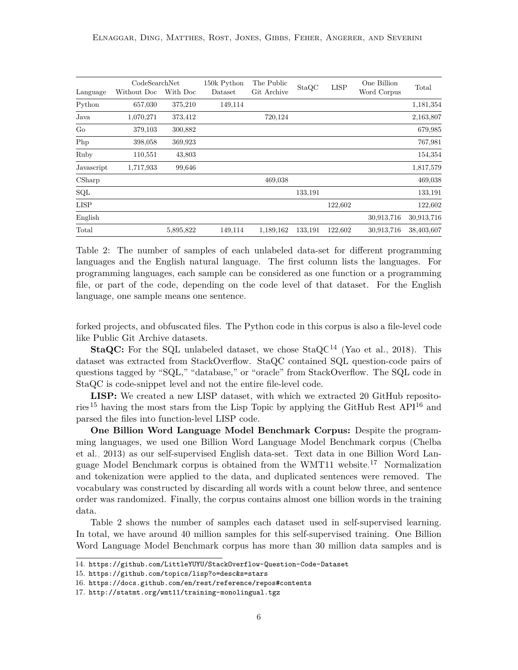<span id="page-5-4"></span>

|                         | CodeSearchNet |           | 150k Python | The Public  | StaQC   | <b>LISP</b> | One Billion | Total      |
|-------------------------|---------------|-----------|-------------|-------------|---------|-------------|-------------|------------|
| Language                | Without Doc   | With Doc  | Dataset     | Git Archive |         |             | Word Corpus |            |
| Python                  | 657,030       | 375,210   | 149,114     |             |         |             |             | 1,181,354  |
| Java                    | 1,070,271     | 373,412   |             | 720,124     |         |             |             | 2,163,807  |
| Go                      | 379,103       | 300,882   |             |             |         |             |             | 679,985    |
| Php                     | 398,058       | 369,923   |             |             |         |             |             | 767,981    |
| Ruby                    | 110,551       | 43,803    |             |             |         |             |             | 154,354    |
| Javascript              | 1,717,933     | 99,646    |             |             |         |             |             | 1,817,579  |
| $\operatorname{CSharp}$ |               |           |             | 469,038     |         |             |             | 469,038    |
| SQL                     |               |           |             |             | 133,191 |             |             | 133,191    |
| <b>LISP</b>             |               |           |             |             |         | 122,602     |             | 122,602    |
| English                 |               |           |             |             |         |             | 30,913,716  | 30,913,716 |
| Total                   |               | 5,895,822 | 149,114     | 1,189,162   | 133,191 | 122,602     | 30,913,716  | 38,403,607 |

Table 2: The number of samples of each unlabeled data-set for different programming languages and the English natural language. The first column lists the languages. For programming languages, each sample can be considered as one function or a programming file, or part of the code, depending on the code level of that dataset. For the English language, one sample means one sentence.

forked projects, and obfuscated files. The Python code in this corpus is also a file-level code like Public Git Archive datasets.

**StaQC:** For the SQL unlabeled dataset, we chose  $StaQC^{14}$  $StaQC^{14}$  $StaQC^{14}$  [\(Yao et al., 2018\)](#page-27-3). This dataset was extracted from StackOverflow. StaQC contained SQL question-code pairs of questions tagged by "SQL," "database," or "oracle" from StackOverflow. The SQL code in StaQC is code-snippet level and not the entire file-level code.

**LISP:** We created a new LISP dataset, with which we extracted 20 GitHub reposito-ries<sup>[15](#page-5-1)</sup> having the most stars from the Lisp Topic by applying the GitHub Rest  $API<sup>16</sup>$  $API<sup>16</sup>$  $API<sup>16</sup>$  and parsed the files into function-level LISP code.

**One Billion Word Language Model Benchmark Corpus:** Despite the programming languages, we used one Billion Word Language Model Benchmark corpus [\(Chelba](#page-25-11) [et al., 2013\)](#page-25-11) as our self-supervised English data-set. Text data in one Billion Word Language Model Benchmark corpus is obtained from the WMT11 website.[17](#page-5-3) Normalization and tokenization were applied to the data, and duplicated sentences were removed. The vocabulary was constructed by discarding all words with a count below three, and sentence order was randomized. Finally, the corpus contains almost one billion words in the training data.

[Table 2](#page-5-4) shows the number of samples each dataset used in self-supervised learning. In total, we have around 40 million samples for this self-supervised training. One Billion Word Language Model Benchmark corpus has more than 30 million data samples and is

<span id="page-5-0"></span><sup>14.</sup> <https://github.com/LittleYUYU/StackOverflow-Question-Code-Dataset>

<span id="page-5-1"></span><sup>15.</sup> <https://github.com/topics/lisp?o=desc&s=stars>

<span id="page-5-2"></span><sup>16.</sup> <https://docs.github.com/en/rest/reference/repos#contents>

<span id="page-5-3"></span><sup>17.</sup> <http://statmt.org/wmt11/training-monolingual.tgz>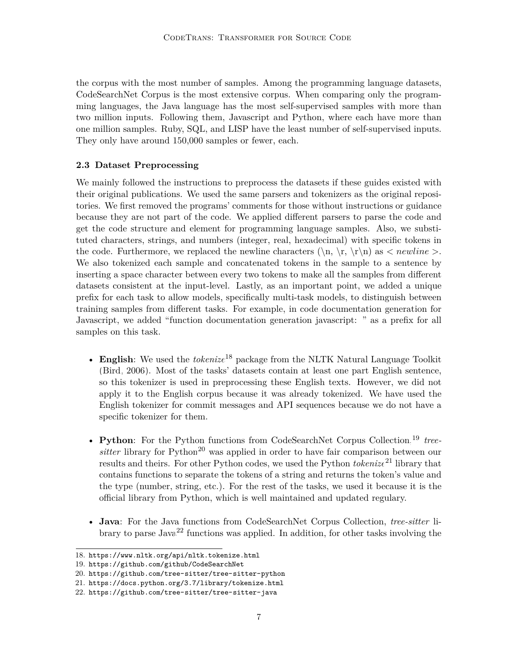the corpus with the most number of samples. Among the programming language datasets, CodeSearchNet Corpus is the most extensive corpus. When comparing only the programming languages, the Java language has the most self-supervised samples with more than two million inputs. Following them, Javascript and Python, where each have more than one million samples. Ruby, SQL, and LISP have the least number of self-supervised inputs. They only have around 150,000 samples or fewer, each.

#### **2.3 Dataset Preprocessing**

We mainly followed the instructions to preprocess the datasets if these guides existed with their original publications. We used the same parsers and tokenizers as the original repositories. We first removed the programs' comments for those without instructions or guidance because they are not part of the code. We applied different parsers to parse the code and get the code structure and element for programming language samples. Also, we substituted characters, strings, and numbers (integer, real, hexadecimal) with specific tokens in the code. Furthermore, we replaced the newline characters  $(\n\cdot, \r\cdot \n\cdot)$  as  $\lt$  *newline*  $\gt$ . We also tokenized each sample and concatenated tokens in the sample to a sentence by inserting a space character between every two tokens to make all the samples from different datasets consistent at the input-level. Lastly, as an important point, we added a unique prefix for each task to allow models, specifically multi-task models, to distinguish between training samples from different tasks. For example, in code documentation generation for Javascript, we added "function documentation generation javascript: " as a prefix for all samples on this task.

- **English**: We used the *tokenize*[18](#page-6-0) package from the NLTK Natural Language Toolkit [\(Bird, 2006\)](#page-24-1). Most of the tasks' datasets contain at least one part English sentence, so this tokenizer is used in preprocessing these English texts. However, we did not apply it to the English corpus because it was already tokenized. We have used the English tokenizer for commit messages and API sequences because we do not have a specific tokenizer for them.
- Python: For the Python functions from CodeSearchNet Corpus Collection,<sup>[19](#page-6-1)</sup> tree*sitter* library for Python<sup>[20](#page-6-2)</sup> was applied in order to have fair comparison between our results and theirs. For other Python codes, we used the Python *tokenize*[21](#page-6-3) library that contains functions to separate the tokens of a string and returns the token's value and the type (number, string, etc.). For the rest of the tasks, we used it because it is the official library from Python, which is well maintained and updated regulary.
- **Java**: For the Java functions from CodeSearchNet Corpus Collection, *tree-sitter* li-brary to parse Java<sup>[22](#page-6-4)</sup> functions was applied. In addition, for other tasks involving the

<span id="page-6-0"></span><sup>18.</sup> <https://www.nltk.org/api/nltk.tokenize.html>

<span id="page-6-1"></span><sup>19.</sup> <https://github.com/github/CodeSearchNet>

<span id="page-6-2"></span><sup>20.</sup> <https://github.com/tree-sitter/tree-sitter-python>

<span id="page-6-3"></span><sup>21.</sup> <https://docs.python.org/3.7/library/tokenize.html>

<span id="page-6-4"></span><sup>22.</sup> <https://github.com/tree-sitter/tree-sitter-java>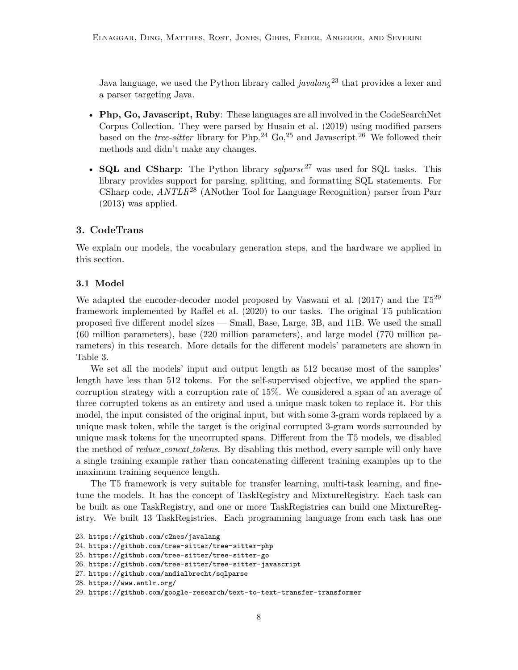Java language, we used the Python library called *javalang*<sup>[23](#page-7-1)</sup> that provides a lexer and a parser targeting Java.

- **Php, Go, Javascript, Ruby**: These languages are all involved in the CodeSearchNet Corpus Collection. They were parsed by [Husain et al.](#page-25-10) [\(2019\)](#page-25-10) using modified parsers based on the *tree-sitter* library for  $Php$ ,<sup>[24](#page-7-2)</sup> Go,<sup>[25](#page-7-3)</sup> and Javascript.<sup>[26](#page-7-4)</sup> We followed their methods and didn't make any changes.
- **SQL and CSharp**: The Python library *sqlparse*[27](#page-7-5) was used for SQL tasks. This library provides support for parsing, splitting, and formatting SQL statements. For CSharp code, *ANTLR*[28](#page-7-6) (ANother Tool for Language Recognition) parser from [Parr](#page-26-10) [\(2013\)](#page-26-10) was applied.

#### <span id="page-7-0"></span>**3. CodeTrans**

We explain our models, the vocabulary generation steps, and the hardware we applied in this section.

#### **3.1 Model**

We adapted the encoder-decoder model proposed by [Vaswani et al.](#page-27-1) [\(2017\)](#page-27-1) and the  $T5^{29}$  $T5^{29}$  $T5^{29}$ framework implemented by [Raffel et al.](#page-26-3) [\(2020\)](#page-26-3) to our tasks. The original T5 publication proposed five different model sizes — Small, Base, Large, 3B, and 11B. We used the small (60 million parameters), base (220 million parameters), and large model (770 million parameters) in this research. More details for the different models' parameters are shown in Table [3.](#page-8-0)

We set all the models' input and output length as 512 because most of the samples' length have less than 512 tokens. For the self-supervised objective, we applied the spancorruption strategy with a corruption rate of 15%. We considered a span of an average of three corrupted tokens as an entirety and used a unique mask token to replace it. For this model, the input consisted of the original input, but with some 3-gram words replaced by a unique mask token, while the target is the original corrupted 3-gram words surrounded by unique mask tokens for the uncorrupted spans. Different from the T5 models, we disabled the method of *reduce concat tokens*. By disabling this method, every sample will only have a single training example rather than concatenating different training examples up to the maximum training sequence length.

The T5 framework is very suitable for transfer learning, multi-task learning, and finetune the models. It has the concept of TaskRegistry and MixtureRegistry. Each task can be built as one TaskRegistry, and one or more TaskRegistries can build one MixtureRegistry. We built 13 TaskRegistries. Each programming language from each task has one

<span id="page-7-1"></span><sup>23.</sup> <https://github.com/c2nes/javalang>

<span id="page-7-2"></span><sup>24.</sup> <https://github.com/tree-sitter/tree-sitter-php>

<span id="page-7-4"></span><span id="page-7-3"></span><sup>25.</sup> <https://github.com/tree-sitter/tree-sitter-go>

<sup>26.</sup> <https://github.com/tree-sitter/tree-sitter-javascript>

<span id="page-7-5"></span><sup>27.</sup> <https://github.com/andialbrecht/sqlparse>

<span id="page-7-7"></span><span id="page-7-6"></span><sup>28.</sup> <https://www.antlr.org/>

<sup>29.</sup> <https://github.com/google-research/text-to-text-transfer-transformer>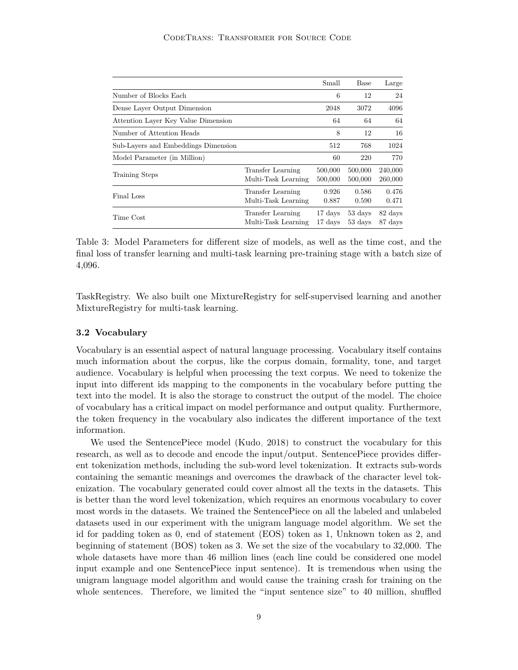<span id="page-8-0"></span>

|                                     |                                                 | Small              | Base               | Large              |
|-------------------------------------|-------------------------------------------------|--------------------|--------------------|--------------------|
| Number of Blocks Each               |                                                 | 6                  | 12                 | 24                 |
| Dense Layer Output Dimension        |                                                 | 2048               | 3072               | 4096               |
| Attention Layer Key Value Dimension |                                                 | 64                 | 64                 | 64                 |
| Number of Attention Heads           |                                                 | 8                  | 12                 | 16                 |
| Sub-Layers and Embeddings Dimension |                                                 | 512                | 768                | 1024               |
| Model Parameter (in Million)        |                                                 | 60                 | 220                | 770                |
| Training Steps                      | <b>Transfer Learning</b><br>Multi-Task Learning | 500,000<br>500,000 | 500,000<br>500,000 | 240,000<br>260,000 |
| Final Loss                          | Transfer Learning<br>Multi-Task Learning        | 0.926<br>0.887     | 0.586<br>0.590     | 0.476<br>0.471     |
| Time Cost                           | Transfer Learning<br>Multi-Task Learning        | 17 days<br>17 days | 53 days<br>53 days | 82 days<br>87 days |

Table 3: Model Parameters for different size of models, as well as the time cost, and the final loss of transfer learning and multi-task learning pre-training stage with a batch size of 4,096.

TaskRegistry. We also built one MixtureRegistry for self-supervised learning and another MixtureRegistry for multi-task learning.

#### **3.2 Vocabulary**

Vocabulary is an essential aspect of natural language processing. Vocabulary itself contains much information about the corpus, like the corpus domain, formality, tone, and target audience. Vocabulary is helpful when processing the text corpus. We need to tokenize the input into different ids mapping to the components in the vocabulary before putting the text into the model. It is also the storage to construct the output of the model. The choice of vocabulary has a critical impact on model performance and output quality. Furthermore, the token frequency in the vocabulary also indicates the different importance of the text information.

We used the SentencePiece model [\(Kudo, 2018\)](#page-25-12) to construct the vocabulary for this research, as well as to decode and encode the input/output. SentencePiece provides different tokenization methods, including the sub-word level tokenization. It extracts sub-words containing the semantic meanings and overcomes the drawback of the character level tokenization. The vocabulary generated could cover almost all the texts in the datasets. This is better than the word level tokenization, which requires an enormous vocabulary to cover most words in the datasets. We trained the SentencePiece on all the labeled and unlabeled datasets used in our experiment with the unigram language model algorithm. We set the id for padding token as 0, end of statement (EOS) token as 1, Unknown token as 2, and beginning of statement (BOS) token as 3. We set the size of the vocabulary to 32,000. The whole datasets have more than 46 million lines (each line could be considered one model input example and one SentencePiece input sentence). It is tremendous when using the unigram language model algorithm and would cause the training crash for training on the whole sentences. Therefore, we limited the "input sentence size" to 40 million, shuffled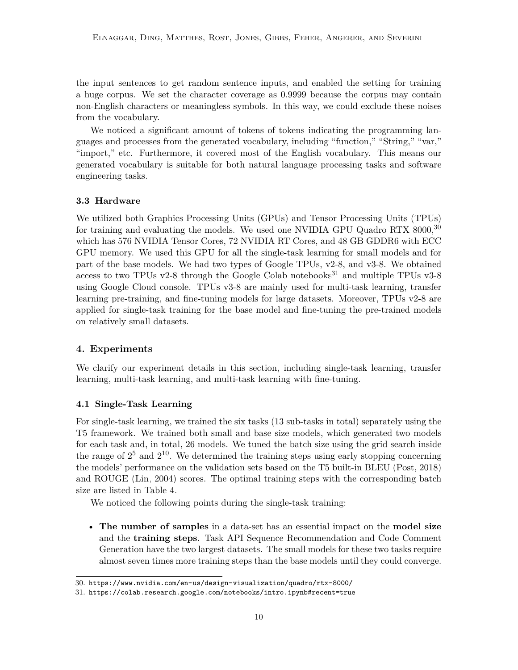the input sentences to get random sentence inputs, and enabled the setting for training a huge corpus. We set the character coverage as 0.9999 because the corpus may contain non-English characters or meaningless symbols. In this way, we could exclude these noises from the vocabulary.

We noticed a significant amount of tokens of tokens indicating the programming languages and processes from the generated vocabulary, including "function," "String," "var," "import," etc. Furthermore, it covered most of the English vocabulary. This means our generated vocabulary is suitable for both natural language processing tasks and software engineering tasks.

#### **3.3 Hardware**

We utilized both Graphics Processing Units (GPUs) and Tensor Processing Units (TPUs) for training and evaluating the models. We used one NVIDIA GPU Quadro RTX  $8000$ ,<sup>[30](#page-9-1)</sup> which has 576 NVIDIA Tensor Cores, 72 NVIDIA RT Cores, and 48 GB GDDR6 with ECC GPU memory. We used this GPU for all the single-task learning for small models and for part of the base models. We had two types of Google TPUs, v2-8, and v3-8. We obtained access to two TPUs v2-8 through the Google Colab notebooks<sup>[31](#page-9-2)</sup> and multiple TPUs v3-8 using Google Cloud console. TPUs v3-8 are mainly used for multi-task learning, transfer learning pre-training, and fine-tuning models for large datasets. Moreover, TPUs v2-8 are applied for single-task training for the base model and fine-tuning the pre-trained models on relatively small datasets.

#### <span id="page-9-0"></span>**4. Experiments**

We clarify our experiment details in this section, including single-task learning, transfer learning, multi-task learning, and multi-task learning with fine-tuning.

#### **4.1 Single-Task Learning**

For single-task learning, we trained the six tasks (13 sub-tasks in total) separately using the T5 framework. We trained both small and base size models, which generated two models for each task and, in total, 26 models. We tuned the batch size using the grid search inside the range of  $2^5$  and  $2^{10}$ . We determined the training steps using early stopping concerning the models' performance on the validation sets based on the T5 built-in BLEU [\(Post, 2018\)](#page-26-11) and ROUGE [\(Lin, 2004\)](#page-26-12) scores. The optimal training steps with the corresponding batch size are listed in [Table 4.](#page-11-0)

We noticed the following points during the single-task training:

• **The number of samples** in a data-set has an essential impact on the **model size** and the **training steps**. Task API Sequence Recommendation and Code Comment Generation have the two largest datasets. The small models for these two tasks require almost seven times more training steps than the base models until they could converge.

<span id="page-9-1"></span><sup>30.</sup> <https://www.nvidia.com/en-us/design-visualization/quadro/rtx-8000/>

<span id="page-9-2"></span><sup>31.</sup> <https://colab.research.google.com/notebooks/intro.ipynb#recent=true>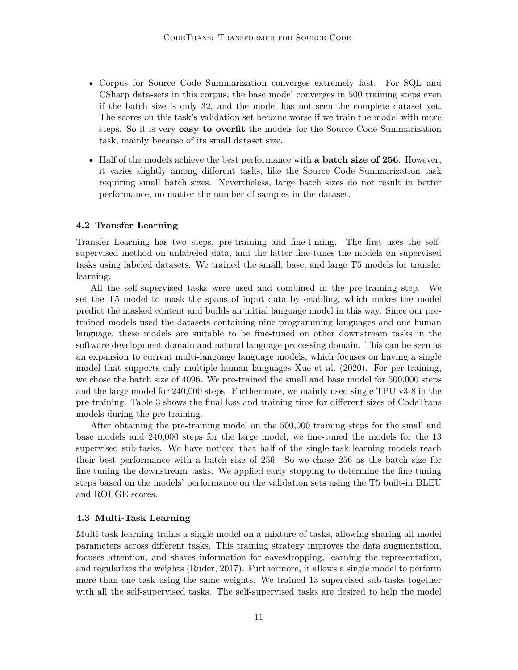- Corpus for Source Code Summarization converges extremely fast. For SQL and CSharp data-sets in this corpus, the base model converges in 500 training steps even if the batch size is only 32, and the model has not seen the complete dataset yet. The scores on this task's validation set become worse if we train the model with more steps. So it is very **easy to overfit** the models for the Source Code Summarization task, mainly because of its small dataset size.
- Half of the models achieve the best performance with **a batch size of 256**. However, it varies slightly among different tasks, like the Source Code Summarization task requiring small batch sizes. Nevertheless, large batch sizes do not result in better performance, no matter the number of samples in the dataset.

#### **4.2 Transfer Learning**

Transfer Learning has two steps, pre-training and fine-tuning. The first uses the selfsupervised method on unlabeled data, and the latter fine-tunes the models on supervised tasks using labeled datasets. We trained the small, base, and large T5 models for transfer learning.

All the self-supervised tasks were used and combined in the pre-training step. We set the T5 model to mask the spans of input data by enabling, which makes the model predict the masked content and builds an initial language model in this way. Since our pretrained models used the datasets containing nine programming languages and one human language, these models are suitable to be fine-tuned on other downstream tasks in the software development domain and natural language processing domain. This can be seen as an expansion to current multi-language language models, which focuses on having a single model that supports only multiple human languages [Xue et al.](#page-27-4) [\(2020\)](#page-27-4). For per-training, we chose the batch size of 4096. We pre-trained the small and base model for 500,000 steps and the large model for 240,000 steps. Furthermore, we mainly used single TPU v3-8 in the pre-training. Table [3](#page-8-0) shows the final loss and training time for different sizes of CodeTrans models during the pre-training.

After obtaining the pre-training model on the 500,000 training steps for the small and base models and 240,000 steps for the large model, we fine-tuned the models for the 13 supervised sub-tasks. We have noticed that half of the single-task learning models reach their best performance with a batch size of 256. So we chose 256 as the batch size for fine-tuning the downstream tasks. We applied early stopping to determine the fine-tuning steps based on the models' performance on the validation sets using the T5 built-in BLEU and ROUGE scores.

#### **4.3 Multi-Task Learning**

Multi-task learning trains a single model on a mixture of tasks, allowing sharing all model parameters across different tasks. This training strategy improves the data augmentation, focuses attention, and shares information for eavesdropping, learning the representation, and regularizes the weights [\(Ruder, 2017\)](#page-26-7). Furthermore, it allows a single model to perform more than one task using the same weights. We trained 13 supervised sub-tasks together with all the self-supervised tasks. The self-supervised tasks are desired to help the model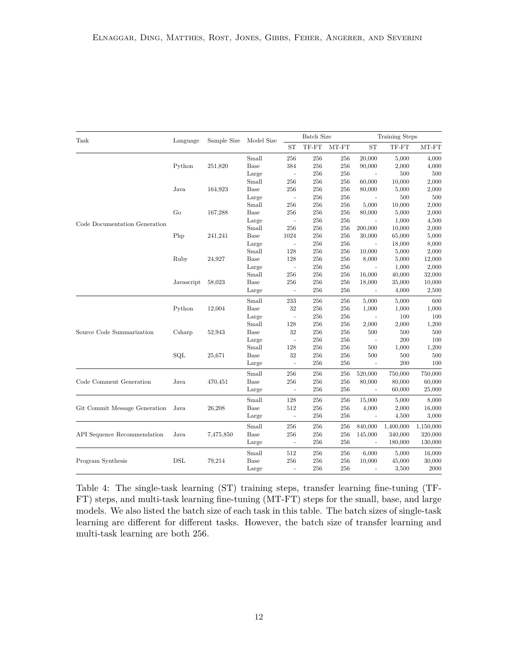<span id="page-11-0"></span>

| Task                          | Language   | Sample Size | Model Size |                          | <b>Batch Size</b> |       |                          | Training Steps |           |
|-------------------------------|------------|-------------|------------|--------------------------|-------------------|-------|--------------------------|----------------|-----------|
|                               |            |             |            | ST                       | TF-FT             | MT-FT | <b>ST</b>                | TF-FT          | MT-FT     |
|                               |            |             | Small      | 256                      | 256               | 256   | 20,000                   | 5,000          | 4,000     |
|                               | Python     | 251,820     | Base       | 384                      | 256               | 256   | 90,000                   | 2,000          | 4,000     |
|                               |            |             | Large      | $\sim$                   | 256               | 256   | ÷,                       | 500            | 500       |
|                               |            |             | Small      | 256                      | 256               | 256   | 60,000                   | 10,000         | 2,000     |
|                               | Java       | 164,923     | Base       | 256                      | 256               | 256   | 80,000                   | 5,000          | 2,000     |
|                               |            |             | Large      | $\blacksquare$           | 256               | 256   |                          | 500            | 500       |
|                               |            |             | Small      | 256                      | 256               | 256   | 5,000                    | 10,000         | 2,000     |
|                               | Go         | 167,288     | Base       | 256                      | 256               | 256   | 80,000                   | 5,000          | 2,000     |
| Code Documentation Generation |            |             | Large      | $\overline{\phantom{a}}$ | 256               | 256   |                          | 1,000          | 4,500     |
|                               |            |             | Small      | 256                      | 256               | 256   | 200,000                  | 10,000         | 2,000     |
|                               | Php        | 241,241     | Base       | 1024                     | 256               | 256   | 30,000                   | 65,000         | 5,000     |
|                               |            |             | Large      | $\bar{a}$                | 256               | 256   | $\overline{\phantom{a}}$ | 18,000         | 8,000     |
|                               |            |             | Small      | 128                      | 256               | 256   | 10,000                   | 5,000          | 2,000     |
|                               | Ruby       | 24,927      | Base       | 128                      | 256               | 256   | 8,000                    | 5,000          | 12,000    |
|                               |            |             | Large      | $\sim$                   | 256               | 256   |                          | 1,000          | 2,000     |
|                               |            |             | Small      | 256                      | 256               | 256   | 16,000                   | 40,000         | 32,000    |
|                               | Javascript | 58,023      | Base       | 256                      | 256               | 256   | 18,000                   | 35,000         | 10,000    |
|                               |            |             | Large      | $\overline{\phantom{a}}$ | 256               | 256   |                          | 4,000          | 2,500     |
|                               |            |             | Small      | 233                      | 256               | 256   | 5,000                    | 5,000          | 600       |
|                               | Python     | 12,004      | Base       | $32\,$                   | 256               | 256   | 1,000                    | 1,000          | 1,000     |
|                               |            |             | Large      | $\bar{\phantom{a}}$      | 256               | 256   | $\overline{a}$           | 100            | 100       |
|                               |            |             | Small      | 128                      | 256               | 256   | 2,000                    | 2,000          | 1,200     |
| Source Code Summarization     | Csharp     | 52,943      | Base       | 32                       | 256               | 256   | 500                      | 500            | 500       |
|                               |            |             | Large      | $\bar{\phantom{a}}$      | 256               | 256   | $\overline{a}$           | 200            | 100       |
|                               |            |             | Small      | 128                      | 256               | 256   | 500                      | 1,000          | 1,200     |
|                               | SQL        | 25,671      | Base       | 32                       | 256               | 256   | 500                      | 500            | 500       |
|                               |            |             | Large      | $\overline{\phantom{a}}$ | 256               | 256   | $\overline{\phantom{a}}$ | 200            | 100       |
|                               |            |             | Small      | 256                      | 256               | 256   | 520,000                  | 750,000        | 750,000   |
| Code Comment Generation       | Java       | 470,451     | Base       | 256                      | 256               | 256   | 80,000                   | 80,000         | 60,000    |
|                               |            |             | Large      | $\overline{\phantom{a}}$ | 256               | 256   | $\sim$ $-$               | 60,000         | 25,000    |
|                               |            |             | Small      | 128                      | 256               | 256   | 15,000                   | 5,000          | 8,000     |
| Git Commit Message Generation | Java       | 26,208      | Base       | 512                      | 256               | 256   | 4,000                    | 2,000          | 16,000    |
|                               |            |             | Large      | $\overline{\phantom{a}}$ | 256               | 256   | $\overline{\phantom{a}}$ | 4,500          | 3,000     |
|                               |            |             | Small      | 256                      | 256               | 256   | 840,000                  | 1,400,000      | 1,150,000 |
| API Sequence Recommendation   | Java       | 7,475,850   | Base       | 256                      | 256               | 256   | 145,000                  | 340,000        | 320,000   |
|                               |            |             | Large      | $\blacksquare$           | 256               | 256   |                          | 180,000        | 130,000   |
|                               |            |             | Small      | 512                      | 256               | 256   | 6,000                    | 5,000          | 16,000    |
| Program Synthesis             | DSL        | 79,214      | Base       | 256                      | 256               | 256   | 10,000                   | 45,000         | 30,000    |
|                               |            |             | Large      | $\overline{\phantom{a}}$ | 256               | 256   |                          | 3,500          | 2000      |

Table 4: The single-task learning (ST) training steps, transfer learning fine-tuning (TF-FT) steps, and multi-task learning fine-tuning (MT-FT) steps for the small, base, and large models. We also listed the batch size of each task in this table. The batch sizes of single-task learning are different for different tasks. However, the batch size of transfer learning and multi-task learning are both 256.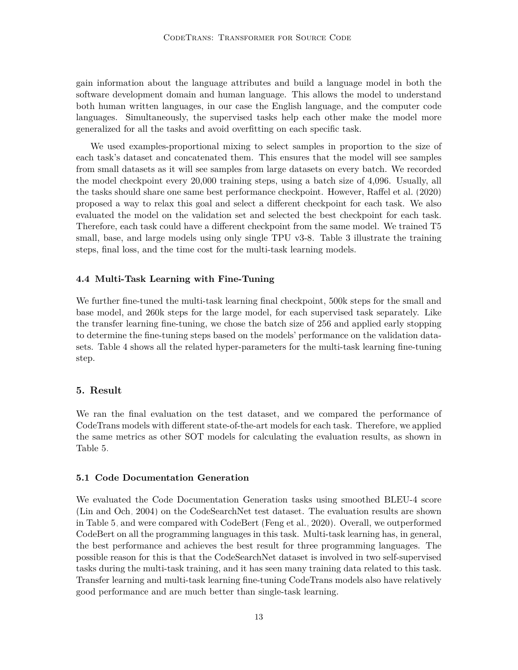gain information about the language attributes and build a language model in both the software development domain and human language. This allows the model to understand both human written languages, in our case the English language, and the computer code languages. Simultaneously, the supervised tasks help each other make the model more generalized for all the tasks and avoid overfitting on each specific task.

We used examples-proportional mixing to select samples in proportion to the size of each task's dataset and concatenated them. This ensures that the model will see samples from small datasets as it will see samples from large datasets on every batch. We recorded the model checkpoint every 20,000 training steps, using a batch size of 4,096. Usually, all the tasks should share one same best performance checkpoint. However, [Raffel et al.](#page-26-3) [\(2020\)](#page-26-3) proposed a way to relax this goal and select a different checkpoint for each task. We also evaluated the model on the validation set and selected the best checkpoint for each task. Therefore, each task could have a different checkpoint from the same model. We trained T5 small, base, and large models using only single TPU v3-8. Table [3](#page-8-0) illustrate the training steps, final loss, and the time cost for the multi-task learning models.

#### **4.4 Multi-Task Learning with Fine-Tuning**

We further fine-tuned the multi-task learning final checkpoint, 500k steps for the small and base model, and 260k steps for the large model, for each supervised task separately. Like the transfer learning fine-tuning, we chose the batch size of 256 and applied early stopping to determine the fine-tuning steps based on the models' performance on the validation datasets. Table [4](#page-11-0) shows all the related hyper-parameters for the multi-task learning fine-tuning step.

#### <span id="page-12-0"></span>**5. Result**

We ran the final evaluation on the test dataset, and we compared the performance of CodeTrans models with different state-of-the-art models for each task. Therefore, we applied the same metrics as other SOT models for calculating the evaluation results, as shown in Table [5.](#page-14-0)

#### **5.1 Code Documentation Generation**

We evaluated the Code Documentation Generation tasks using smoothed BLEU-4 score [\(Lin and Och, 2004\)](#page-26-13) on the CodeSearchNet test dataset. The evaluation results are shown in Table [5,](#page-14-0) and were compared with CodeBert [\(Feng et al., 2020\)](#page-25-8). Overall, we outperformed CodeBert on all the programming languages in this task. Multi-task learning has, in general, the best performance and achieves the best result for three programming languages. The possible reason for this is that the CodeSearchNet dataset is involved in two self-supervised tasks during the multi-task training, and it has seen many training data related to this task. Transfer learning and multi-task learning fine-tuning CodeTrans models also have relatively good performance and are much better than single-task learning.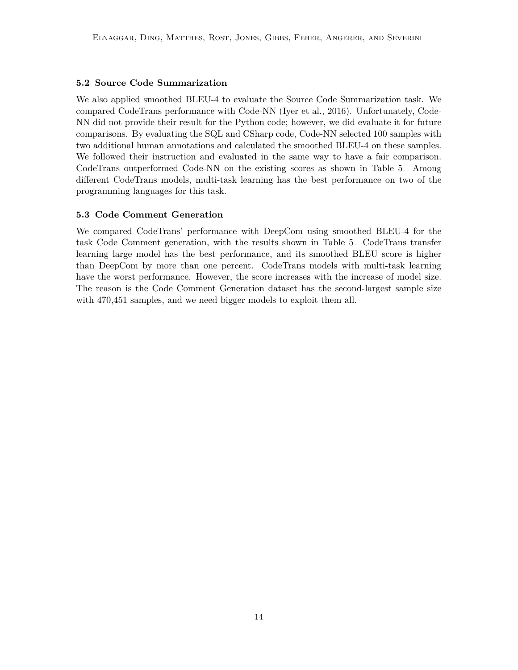#### **5.2 Source Code Summarization**

We also applied smoothed BLEU-4 to evaluate the Source Code Summarization task. We compared CodeTrans performance with Code-NN [\(Iyer et al., 2016\)](#page-25-4). Unfortunately, Code-NN did not provide their result for the Python code; however, we did evaluate it for future comparisons. By evaluating the SQL and CSharp code, Code-NN selected 100 samples with two additional human annotations and calculated the smoothed BLEU-4 on these samples. We followed their instruction and evaluated in the same way to have a fair comparison. CodeTrans outperformed Code-NN on the existing scores as shown in Table [5.](#page-14-0) Among different CodeTrans models, multi-task learning has the best performance on two of the programming languages for this task.

#### **5.3 Code Comment Generation**

We compared CodeTrans' performance with DeepCom using smoothed BLEU-4 for the task Code Comment generation, with the results shown in Table [5.](#page-14-0) CodeTrans transfer learning large model has the best performance, and its smoothed BLEU score is higher than DeepCom by more than one percent. CodeTrans models with multi-task learning have the worst performance. However, the score increases with the increase of model size. The reason is the Code Comment Generation dataset has the second-largest sample size with 470,451 samples, and we need bigger models to exploit them all.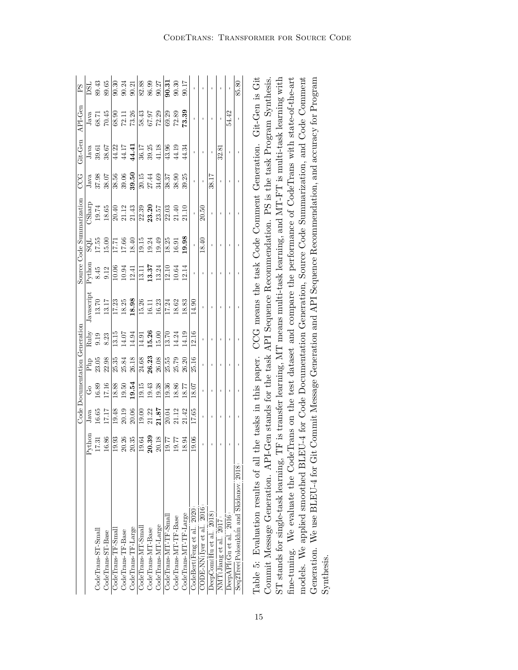<span id="page-14-0"></span>

|                                            |                                                         |                              |                              |                         | Code Documentation Generation |                                                                                                                           |                                         |                                                  | Source Code Summarization | CCG                                                                                                                                                                                                                       | Git-Gen                              | API-Gen                                                                              | $_{\rm PS}$                                          |
|--------------------------------------------|---------------------------------------------------------|------------------------------|------------------------------|-------------------------|-------------------------------|---------------------------------------------------------------------------------------------------------------------------|-----------------------------------------|--------------------------------------------------|---------------------------|---------------------------------------------------------------------------------------------------------------------------------------------------------------------------------------------------------------------------|--------------------------------------|--------------------------------------------------------------------------------------|------------------------------------------------------|
|                                            | $\mbox{Python}$                                         |                              |                              |                         |                               | Javascript                                                                                                                |                                         |                                                  | CSharp                    |                                                                                                                                                                                                                           | $_{\rm Java}$                        |                                                                                      | <b>USC</b>                                           |
| $\footnotesize \texttt{CodeTrans-T-Small}$ | 17.31                                                   | $\frac{J_{\rm{ava}}}{16.65}$ | $\frac{G_0}{16.89}$<br>17.16 | $\frac{Php}{23.05}$     | Ruby<br>9.19<br>8.23          | $13.70\,$                                                                                                                 |                                         | $\begin{array}{c} 15.00 \\ 15.00 \\ \end{array}$ | 19.74                     | $\begin{array}{c} \text{Java} \\ \text{37.98} \\ \text{38.07} \end{array}$                                                                                                                                                | 39.61                                | $\begin{array}{c} \text{Java} \\ 68.71 \\ 70.45 \end{array}$                         | 89.43<br>89.65                                       |
| CodeTrans-ST-Base                          | $16.86\,$                                               |                              |                              |                         |                               | 13.17                                                                                                                     | Python<br>8.45<br>8.45<br>9.12<br>10.06 |                                                  | 18.65                     |                                                                                                                                                                                                                           | 38.67                                |                                                                                      |                                                      |
| CodeTrans-TF-Small                         |                                                         | 19.48                        |                              |                         |                               |                                                                                                                           |                                         |                                                  |                           |                                                                                                                                                                                                                           |                                      |                                                                                      |                                                      |
| CodeTrans-TF-Base                          |                                                         |                              |                              | 25.35<br>25.84<br>26.18 | 13.15<br>14.07<br>14.94       |                                                                                                                           | $10.94$<br>$12.41$                      |                                                  |                           |                                                                                                                                                                                                                           |                                      |                                                                                      |                                                      |
| CodeTrans-TF-Large                         | $\begin{array}{ l} 19.93 \\ 20.35 \\ 20.35 \end{array}$ | $20.19$<br>$20.06$           | $\frac{18.88}{19.50}$        |                         |                               | $\begin{array}{ l } \hline 17.23 \\ 18.25 \\ \hline 18.98 \\ \hline 19.74 \\ 16.11 \\ \hline 16.23 \\ \hline \end{array}$ |                                         | $\frac{17.71}{17.66}$<br>18.40                   |                           | $\frac{8}{8}$<br>$\frac{8}{3}$<br>$\frac{6}{3}$<br>$\frac{6}{3}$<br>$\frac{1}{2}$<br>$\frac{1}{2}$<br>$\frac{4}{3}$<br>$\frac{3}{4}$<br>$\frac{6}{3}$<br>$\frac{3}{4}$<br>$\frac{1}{2}$<br>$\frac{4}{3}$<br>$\frac{4}{3}$ | <br> 4 17<br> 4 4<br> 4              | $\begin{array}{r} 68.90 \\ 72.11 \\ 73.26 \\ 13.43 \\ 67.37 \\ 67.29 \\ \end{array}$ | $\frac{3}{90}$<br>$\frac{24}{90}$<br>$\frac{21}{21}$ |
| CodeTrans-MT-Small                         |                                                         |                              |                              |                         |                               |                                                                                                                           |                                         |                                                  |                           |                                                                                                                                                                                                                           |                                      |                                                                                      |                                                      |
| CodeTrans-MT-Base                          | $\frac{19.64}{20.39}$                                   | $\frac{19.00}{21.37}$        | $\frac{19.15}{19.43}$        | $\frac{24.68}{26.23}$   | $\frac{14.91}{15.26}$         |                                                                                                                           | $\frac{13.11}{13.37}$<br>13.37          | $\frac{15}{19}$ 349<br>19.34                     |                           |                                                                                                                                                                                                                           | $\frac{17}{36.17}$<br>39.25<br>41.18 |                                                                                      | $\frac{8}{82.35}$<br>$\frac{8}{86.37}$               |
| CodeTrans-MT-Large                         |                                                         |                              | 19.38                        | 26.08                   |                               |                                                                                                                           |                                         |                                                  |                           |                                                                                                                                                                                                                           |                                      |                                                                                      |                                                      |
| $\text{CodeTrans-MT-TF-Smal}$              |                                                         | 0.04<br>21.12<br>21.42       |                              | 25.55<br>25.79          |                               | $\frac{17.24}{18.62}$                                                                                                     |                                         |                                                  |                           | $\frac{38.37}{38.90}$                                                                                                                                                                                                     | $\frac{13.96}{ }$                    |                                                                                      | 90.31                                                |
| CodeTrans-MT-TF-Base                       | $19.77$<br>19.77                                        |                              | 19.36<br>18.86               |                         | 13.70<br>14.24                |                                                                                                                           | $12.10$<br>$10.64$                      |                                                  |                           |                                                                                                                                                                                                                           | 44.19                                |                                                                                      | 90.30                                                |
| CodeTrans-MT-TF-Large                      | 18.94                                                   |                              | $18.77\,$                    | 26.20                   | 14.19                         |                                                                                                                           | 12.14                                   | $\frac{18.25}{16.91}$                            | 21.10                     | 39.25                                                                                                                                                                                                                     | 44.34                                | $\frac{1}{12.39}$<br>$\frac{1}{2.39}$                                                | 90.17                                                |
| CodeBert(Feng et al., 2020)                | 19.06                                                   | 17.65                        | 18.07                        | 25.16                   | 12.16                         | 14.90                                                                                                                     |                                         |                                                  |                           |                                                                                                                                                                                                                           |                                      |                                                                                      |                                                      |
| CODE-NN(Iyer et al., 2016)                 |                                                         |                              |                              |                         |                               |                                                                                                                           |                                         | 18.40                                            | 20.50                     |                                                                                                                                                                                                                           |                                      |                                                                                      |                                                      |
| DeepCom(Hu et al., 2018)                   |                                                         |                              |                              |                         |                               |                                                                                                                           |                                         |                                                  |                           | 38.17                                                                                                                                                                                                                     |                                      |                                                                                      |                                                      |
| $\text{NMT}(\text{Jiang et al.}, 2017)$    |                                                         |                              |                              |                         |                               |                                                                                                                           |                                         |                                                  |                           | $\mathbf{I}$                                                                                                                                                                                                              | 32.81                                |                                                                                      |                                                      |
| DeepAPI(Gu et al., 2016)                   |                                                         |                              |                              |                         |                               |                                                                                                                           |                                         |                                                  |                           |                                                                                                                                                                                                                           |                                      | 54.42                                                                                |                                                      |
| Seq2Tree(Polosukhin and Skidanov, 2018)    |                                                         |                              |                              |                         |                               |                                                                                                                           |                                         |                                                  |                           |                                                                                                                                                                                                                           |                                      |                                                                                      | 85.80                                                |
|                                            |                                                         |                              |                              |                         |                               |                                                                                                                           |                                         |                                                  |                           |                                                                                                                                                                                                                           |                                      |                                                                                      |                                                      |

| Table 5: Evaluation results of all the tasks in this paper. CCG means the task Code Comment Generation. Git-Gen is Git           |
|----------------------------------------------------------------------------------------------------------------------------------|
| Commit Message Generation. API-Gen stands for the task API Sequence Recommendation. PS is the task Program Synthesis.            |
| ST stands for single-task learning, TF is transfer learning, MT means multi-task learning, and MT-FT is multi-task learning with |
| ine-tuning. We evaluate the CodeTrans on the test dataset and compare the performance of CodeTrans with state-of-the-art         |
| models. We applied smoothed BLEU-4 for Code Documentation Generation, Source Code Summarization, and Code Comment                |
| Generation. We use BLEU-4 for Git Commit Message Generation and API Sequence Recommendation, and accuracy for Program            |
| Synthesis.                                                                                                                       |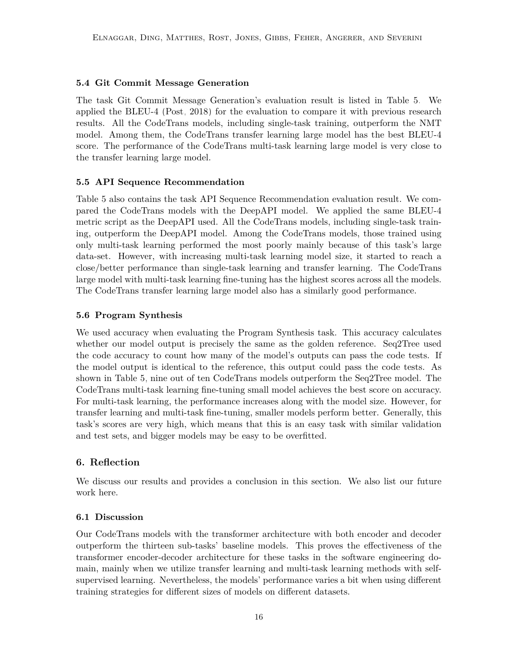#### **5.4 Git Commit Message Generation**

The task Git Commit Message Generation's evaluation result is listed in Table [5.](#page-14-0) We applied the BLEU-4 [\(Post, 2018\)](#page-26-11) for the evaluation to compare it with previous research results. All the CodeTrans models, including single-task training, outperform the NMT model. Among them, the CodeTrans transfer learning large model has the best BLEU-4 score. The performance of the CodeTrans multi-task learning large model is very close to the transfer learning large model.

#### **5.5 API Sequence Recommendation**

Table [5](#page-14-0) also contains the task API Sequence Recommendation evaluation result. We compared the CodeTrans models with the DeepAPI model. We applied the same BLEU-4 metric script as the DeepAPI used. All the CodeTrans models, including single-task training, outperform the DeepAPI model. Among the CodeTrans models, those trained using only multi-task learning performed the most poorly mainly because of this task's large data-set. However, with increasing multi-task learning model size, it started to reach a close/better performance than single-task learning and transfer learning. The CodeTrans large model with multi-task learning fine-tuning has the highest scores across all the models. The CodeTrans transfer learning large model also has a similarly good performance.

#### **5.6 Program Synthesis**

We used accuracy when evaluating the Program Synthesis task. This accuracy calculates whether our model output is precisely the same as the golden reference. Seq2Tree used the code accuracy to count how many of the model's outputs can pass the code tests. If the model output is identical to the reference, this output could pass the code tests. As shown in Table [5,](#page-14-0) nine out of ten CodeTrans models outperform the Seq2Tree model. The CodeTrans multi-task learning fine-tuning small model achieves the best score on accuracy. For multi-task learning, the performance increases along with the model size. However, for transfer learning and multi-task fine-tuning, smaller models perform better. Generally, this task's scores are very high, which means that this is an easy task with similar validation and test sets, and bigger models may be easy to be overfitted.

#### <span id="page-15-0"></span>**6. Reflection**

We discuss our results and provides a conclusion in this section. We also list our future work here.

#### **6.1 Discussion**

Our CodeTrans models with the transformer architecture with both encoder and decoder outperform the thirteen sub-tasks' baseline models. This proves the effectiveness of the transformer encoder-decoder architecture for these tasks in the software engineering domain, mainly when we utilize transfer learning and multi-task learning methods with selfsupervised learning. Nevertheless, the models' performance varies a bit when using different training strategies for different sizes of models on different datasets.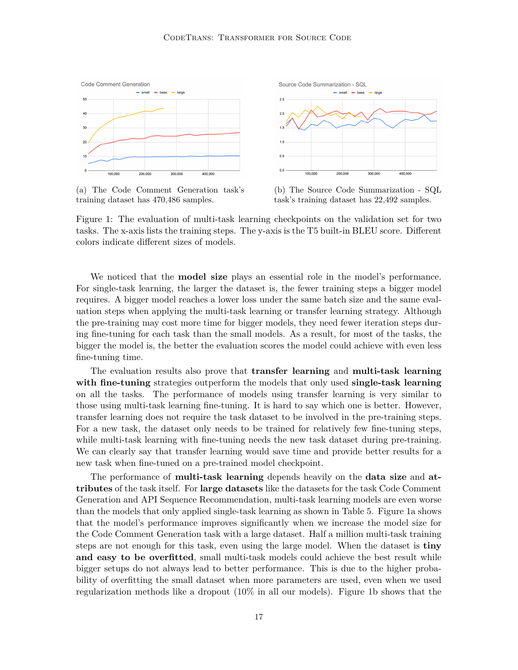<span id="page-16-0"></span>

(a) The Code Comment Generation task's training dataset has 470,486 samples.



Figure 1: The evaluation of multi-task learning checkpoints on the validation set for two tasks. The x-axis lists the training steps. The y-axis is the T5 built-in BLEU score. Different colors indicate different sizes of models.

We noticed that the **model size** plays an essential role in the model's performance. For single-task learning, the larger the dataset is, the fewer training steps a bigger model requires. A bigger model reaches a lower loss under the same batch size and the same evaluation steps when applying the multi-task learning or transfer learning strategy. Although the pre-training may cost more time for bigger models, they need fewer iteration steps during fine-tuning for each task than the small models. As a result, for most of the tasks, the bigger the model is, the better the evaluation scores the model could achieve with even less fine-tuning time.

The evaluation results also prove that **transfer learning** and **multi-task learning with fine-tuning** strategies outperform the models that only used **single-task learning** on all the tasks. The performance of models using transfer learning is very similar to those using multi-task learning fine-tuning. It is hard to say which one is better. However, transfer learning does not require the task dataset to be involved in the pre-training steps. For a new task, the dataset only needs to be trained for relatively few fine-tuning steps, while multi-task learning with fine-tuning needs the new task dataset during pre-training. We can clearly say that transfer learning would save time and provide better results for a new task when fine-tuned on a pre-trained model checkpoint.

The performance of **multi-task learning** depends heavily on the **data size** and **attributes** of the task itself. For **large datasets** like the datasets for the task Code Comment Generation and API Sequence Recommendation, multi-task learning models are even worse than the models that only applied single-task learning as shown in Table [5.](#page-14-0) Figure [1a](#page-16-0) shows that the model's performance improves significantly when we increase the model size for the Code Comment Generation task with a large dataset. Half a million multi-task training steps are not enough for this task, even using the large model. When the dataset is **tiny and easy to be overfitted**, small multi-task models could achieve the best result while bigger setups do not always lead to better performance. This is due to the higher probability of overfitting the small dataset when more parameters are used, even when we used regularization methods like a dropout (10% in all our models). Figure [1b](#page-16-0) shows that the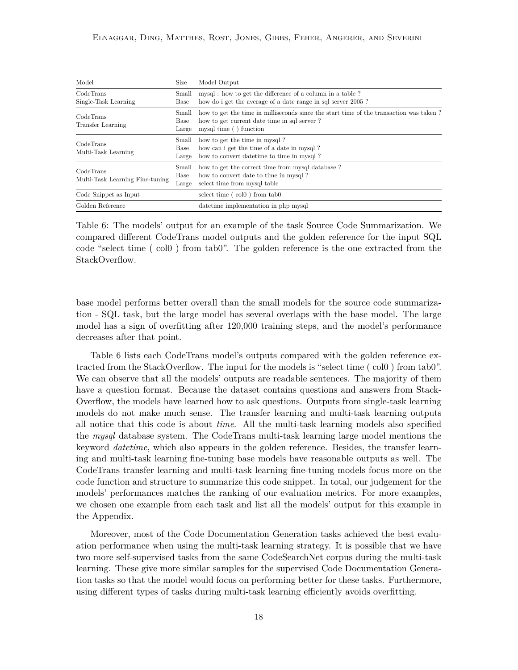<span id="page-17-0"></span>

| Model                                        | Size                   | Model Output                                                                                                                                                    |
|----------------------------------------------|------------------------|-----------------------------------------------------------------------------------------------------------------------------------------------------------------|
| CodeTrans<br>Single-Task Learning            | Small<br>Base          | mysql: how to get the difference of a column in a table?<br>how do i get the average of a date range in sql server 2005?                                        |
| CodeTrans<br>Transfer Learning               | Small<br>Base<br>Large | how to get the time in milliseconds since the start time of the transaction was taken?<br>how to get current date time in sql server?<br>mysql time () function |
| CodeTrans<br>Multi-Task Learning             | Small<br>Base<br>Large | how to get the time in mysql?<br>how can i get the time of a date in mysql?<br>how to convert date time to time in mysql?                                       |
| CodeTrans<br>Multi-Task Learning Fine-tuning | Small<br>Base<br>Large | how to get the correct time from mysql database?<br>how to convert date to time in mysql?<br>select time from mysql table                                       |
| Code Snippet as Input                        |                        | select time $( \text{ col } 0 )$ from $\text{tab } 0$                                                                                                           |
| Golden Reference                             |                        | date time implementation in php mysql                                                                                                                           |

Table 6: The models' output for an example of the task Source Code Summarization. We compared different CodeTrans model outputs and the golden reference for the input SQL code "select time ( col0 ) from tab0". The golden reference is the one extracted from the StackOverflow.

base model performs better overall than the small models for the source code summarization - SQL task, but the large model has several overlaps with the base model. The large model has a sign of overfitting after 120,000 training steps, and the model's performance decreases after that point.

[Table 6](#page-17-0) lists each CodeTrans model's outputs compared with the golden reference extracted from the StackOverflow. The input for the models is "select time ( col0 ) from tab0". We can observe that all the models' outputs are readable sentences. The majority of them have a question format. Because the dataset contains questions and answers from Stack-Overflow, the models have learned how to ask questions. Outputs from single-task learning models do not make much sense. The transfer learning and multi-task learning outputs all notice that this code is about *time*. All the multi-task learning models also specified the *mysql* database system. The CodeTrans multi-task learning large model mentions the keyword *datetime*, which also appears in the golden reference. Besides, the transfer learning and multi-task learning fine-tuning base models have reasonable outputs as well. The CodeTrans transfer learning and multi-task learning fine-tuning models focus more on the code function and structure to summarize this code snippet. In total, our judgement for the models' performances matches the ranking of our evaluation metrics. For more examples, we chosen one example from each task and list all the models' output for this example in the Appendix.

Moreover, most of the Code Documentation Generation tasks achieved the best evaluation performance when using the multi-task learning strategy. It is possible that we have two more self-supervised tasks from the same CodeSearchNet corpus during the multi-task learning. These give more similar samples for the supervised Code Documentation Generation tasks so that the model would focus on performing better for these tasks. Furthermore, using different types of tasks during multi-task learning efficiently avoids overfitting.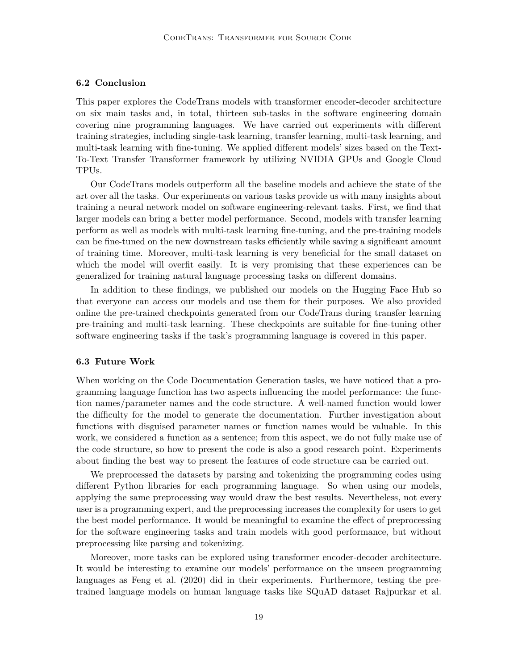#### **6.2 Conclusion**

This paper explores the CodeTrans models with transformer encoder-decoder architecture on six main tasks and, in total, thirteen sub-tasks in the software engineering domain covering nine programming languages. We have carried out experiments with different training strategies, including single-task learning, transfer learning, multi-task learning, and multi-task learning with fine-tuning. We applied different models' sizes based on the Text-To-Text Transfer Transformer framework by utilizing NVIDIA GPUs and Google Cloud TPUs.

Our CodeTrans models outperform all the baseline models and achieve the state of the art over all the tasks. Our experiments on various tasks provide us with many insights about training a neural network model on software engineering-relevant tasks. First, we find that larger models can bring a better model performance. Second, models with transfer learning perform as well as models with multi-task learning fine-tuning, and the pre-training models can be fine-tuned on the new downstream tasks efficiently while saving a significant amount of training time. Moreover, multi-task learning is very beneficial for the small dataset on which the model will overfit easily. It is very promising that these experiences can be generalized for training natural language processing tasks on different domains.

In addition to these findings, we published our models on the Hugging Face Hub so that everyone can access our models and use them for their purposes. We also provided online the pre-trained checkpoints generated from our CodeTrans during transfer learning pre-training and multi-task learning. These checkpoints are suitable for fine-tuning other software engineering tasks if the task's programming language is covered in this paper.

#### **6.3 Future Work**

When working on the Code Documentation Generation tasks, we have noticed that a programming language function has two aspects influencing the model performance: the function names/parameter names and the code structure. A well-named function would lower the difficulty for the model to generate the documentation. Further investigation about functions with disguised parameter names or function names would be valuable. In this work, we considered a function as a sentence; from this aspect, we do not fully make use of the code structure, so how to present the code is also a good research point. Experiments about finding the best way to present the features of code structure can be carried out.

We preprocessed the datasets by parsing and tokenizing the programming codes using different Python libraries for each programming language. So when using our models, applying the same preprocessing way would draw the best results. Nevertheless, not every user is a programming expert, and the preprocessing increases the complexity for users to get the best model performance. It would be meaningful to examine the effect of preprocessing for the software engineering tasks and train models with good performance, but without preprocessing like parsing and tokenizing.

Moreover, more tasks can be explored using transformer encoder-decoder architecture. It would be interesting to examine our models' performance on the unseen programming languages as [Feng et al.](#page-25-8) [\(2020\)](#page-25-8) did in their experiments. Furthermore, testing the pretrained language models on human language tasks like SQuAD dataset [Rajpurkar et al.](#page-26-14)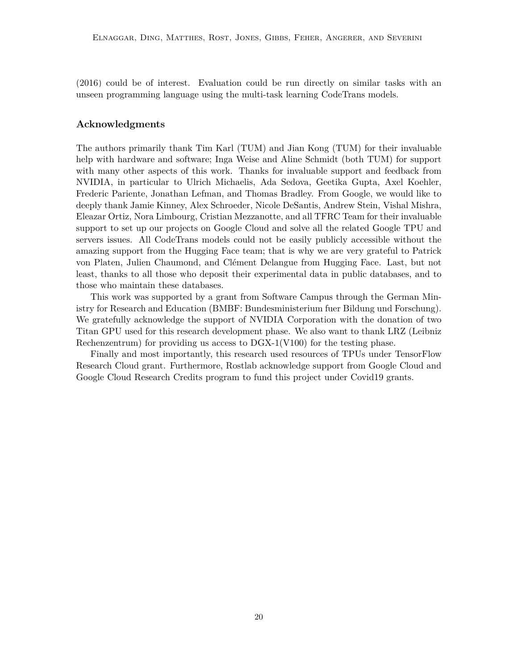[\(2016\)](#page-26-14) could be of interest. Evaluation could be run directly on similar tasks with an unseen programming language using the multi-task learning CodeTrans models.

#### **Acknowledgments**

The authors primarily thank Tim Karl (TUM) and Jian Kong (TUM) for their invaluable help with hardware and software; Inga Weise and Aline Schmidt (both TUM) for support with many other aspects of this work. Thanks for invaluable support and feedback from NVIDIA, in particular to Ulrich Michaelis, Ada Sedova, Geetika Gupta, Axel Koehler, Frederic Pariente, Jonathan Lefman, and Thomas Bradley. From Google, we would like to deeply thank Jamie Kinney, Alex Schroeder, Nicole DeSantis, Andrew Stein, Vishal Mishra, Eleazar Ortiz, Nora Limbourg, Cristian Mezzanotte, and all TFRC Team for their invaluable support to set up our projects on Google Cloud and solve all the related Google TPU and servers issues. All CodeTrans models could not be easily publicly accessible without the amazing support from the Hugging Face team; that is why we are very grateful to Patrick von Platen, Julien Chaumond, and Clément Delangue from Hugging Face. Last, but not least, thanks to all those who deposit their experimental data in public databases, and to those who maintain these databases.

This work was supported by a grant from Software Campus through the German Ministry for Research and Education (BMBF: Bundesministerium fuer Bildung und Forschung). We gratefully acknowledge the support of NVIDIA Corporation with the donation of two Titan GPU used for this research development phase. We also want to thank LRZ (Leibniz Rechenzentrum) for providing us access to DGX-1(V100) for the testing phase.

Finally and most importantly, this research used resources of TPUs under TensorFlow Research Cloud grant. Furthermore, Rostlab acknowledge support from Google Cloud and Google Cloud Research Credits program to fund this project under Covid19 grants.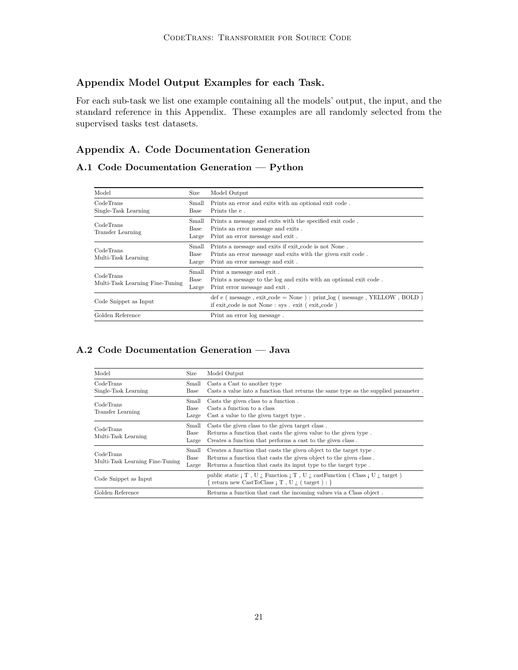### **Appendix Model Output Examples for each Task.**

For each sub-task we list one example containing all the models' output, the input, and the standard reference in this Appendix. These examples are all randomly selected from the supervised tasks test datasets.

## **Appendix A. Code Documentation Generation**

## **A.1 Code Documentation Generation — Python**

| Model                                        | Size                   | Model Output                                                                                                                                            |
|----------------------------------------------|------------------------|---------------------------------------------------------------------------------------------------------------------------------------------------------|
| CodeTrans<br>Single-Task Learning            | Small<br>Base          | Prints an error and exits with an optional exit code.<br>Prints the e.                                                                                  |
| CodeTrans<br>Transfer Learning               | Small<br>Base<br>Large | Prints a message and exits with the specified exit code.<br>Prints an error message and exits.<br>Print an error message and exit.                      |
| CodeTrans<br>Multi-Task Learning             | Small<br>Base<br>Large | Prints a message and exits if exit_code is not None.<br>Prints an error message and exits with the given exit code.<br>Print an error message and exit. |
| CodeTrans<br>Multi-Task Learning Fine-Tuning | Small<br>Base<br>Large | Print a message and exit.<br>Prints a message to the log and exits with an optional exit code.<br>Print error message and exit.                         |
| Code Snippet as Input                        |                        | def e ( $message$ , $exit\_code = None$ ) : $print\_log$ ( $message$ , $YELLOW$ , $BOLD$ )<br>if exit code is not None : sys. exit (exit code)          |
| Golden Reference                             |                        | Print an error log message.                                                                                                                             |

#### **A.2 Code Documentation Generation — Java**

| Model                                        | Size                   | Model Output                                                                                                                                                                                                 |
|----------------------------------------------|------------------------|--------------------------------------------------------------------------------------------------------------------------------------------------------------------------------------------------------------|
| CodeTrans<br>Single-Task Learning            | Small<br>Base          | Casts a Cast to another type<br>Casts a value into a function that returns the same type as the supplied parameter.                                                                                          |
| CodeTrans<br><b>Transfer Learning</b>        | Small<br>Base<br>Large | Casts the given class to a function.<br>Casts a function to a class<br>Cast a value to the given target type.                                                                                                |
| CodeTrans<br>Multi-Task Learning             | Small<br>Base<br>Large | Casts the given class to the given target class.<br>Returns a function that casts the given value to the given type.<br>Creates a function that performs a cast to the given class.                          |
| CodeTrans<br>Multi-Task Learning Fine-Tuning | Small<br>Base<br>Large | Creates a function that casts the given object to the target type.<br>Returns a function that casts the given object to the given class.<br>Returns a function that casts its input type to the target type. |
| Code Snippet as Input                        |                        | public static $\vert T, U \vert$ . Function $\vert T, U \vert$ , cast Function (Class $\vert U \vert$ , target)<br>return new CastToClass; T, U $\chi$ (target); }                                           |
| Golden Reference                             |                        | Returns a function that cast the incoming values via a Class object.                                                                                                                                         |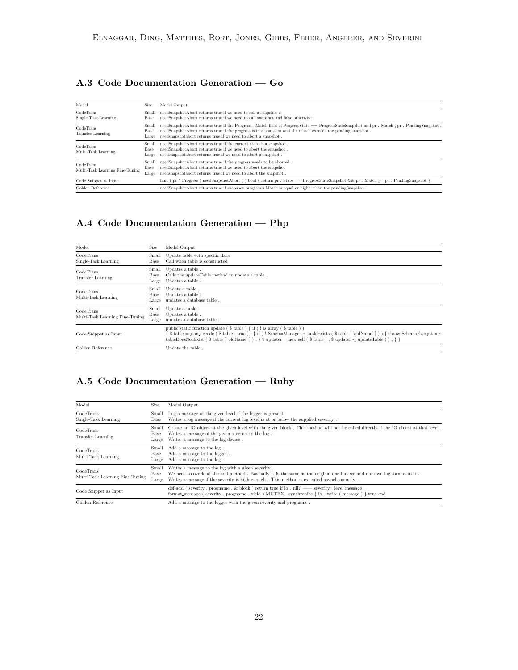## **A.3 Code Documentation Generation — Go**

| Model                                        | <b>Size</b>            | Model Output                                                                                                                                                                                                                                                                                                                |
|----------------------------------------------|------------------------|-----------------------------------------------------------------------------------------------------------------------------------------------------------------------------------------------------------------------------------------------------------------------------------------------------------------------------|
| CodeTrans<br>Single-Task Learning            | Small<br>Base          | needSnapshotAbort returns true if we need to roll a snapshot.<br>needSnapshotAbort returns true if we need to call snapshot and false otherwise.                                                                                                                                                                            |
| CodeTrans<br><b>Transfer Learning</b>        | Small<br>Base<br>Large | needSnapshotAbort returns true if the Progress. Match field of ProgressState == ProgressStateSnapshot and pr. Match ; pr. PendingSnapshot.<br>needSnapshotAbort returns true if the progress is in a snapshot and the match exceeds the pending snapshot.<br>needsnapshotabort returns true if we need to abort a snapshot. |
| CodeTrans<br>Multi-Task Learning             | Small<br>Base<br>Large | needSnapshotAbort returns true if the current state is a snapshot.<br>needSnapshotAbort returns true if we need to abort the snapshot.<br>needsnapshotabort returns true if we need to abort a snapshot.                                                                                                                    |
| CodeTrans<br>Multi-Task Learning Fine-Tuning | Small<br>Base<br>Large | needSnapshotAbort returns true if the progress needs to be aborted.<br>needSnapshotAbort returns true if we need to abort the snapshot<br>needsnapshotabort returns true if we need to abort the snapshot.                                                                                                                  |
| Code Snippet as Input                        |                        | func (pr * Progress) needSnapshotAbort () bool { return pr . State == ProgressStateSnapshot && pr . Match $i =$ pr . PendingSnapshot                                                                                                                                                                                        |
| Golden Reference                             |                        | needSnapshotAbort returns true if snapshot progress s Match is equal or higher than the pendingSnapshot.                                                                                                                                                                                                                    |

## **A.4 Code Documentation Generation — Php**

| Model                                        | Size                   | Model Output                                                                                                                                                                                                                                                                                                                                        |
|----------------------------------------------|------------------------|-----------------------------------------------------------------------------------------------------------------------------------------------------------------------------------------------------------------------------------------------------------------------------------------------------------------------------------------------------|
| CodeTrans<br>Single-Task Learning            | Small<br>Base          | Update table with specific data<br>Call when table is constructed                                                                                                                                                                                                                                                                                   |
| CodeTrans<br><b>Transfer Learning</b>        | Small<br>Base<br>Large | Updates a table.<br>Calls the update Table method to update a table.<br>Updates a table.                                                                                                                                                                                                                                                            |
| CodeTrans<br>Multi-Task Learning             | Small<br>Base<br>Large | Update a table.<br>Updates a table.<br>updates a database table.                                                                                                                                                                                                                                                                                    |
| CodeTrans<br>Multi-Task Learning Fine-Tuning | Small<br>Base<br>Large | Update a table.<br>Updates a table.<br>updates a database table.                                                                                                                                                                                                                                                                                    |
| Code Snippet as Input                        |                        | public static function update ( $\$$ table ) { if ( ! is array ( $\$$ table ) )<br>$\$$ table = json_decode ( $\$$ table, true); } if (! SchemaManager :: tableExists ( $\$$ table ['oldName'])) { throw SchemaException ::<br>tableDoesNotExist (\$table   'oldName'   ); $\$ \$ updater = new self (\$table ); \$ updater -; updateTable (); $\}$ |
| Golden Reference                             |                        | Update the table.                                                                                                                                                                                                                                                                                                                                   |

## **A.5 Code Documentation Generation — Ruby**

| Model                                        | Size                   | Model Output                                                                                                                                                                                                                                                            |
|----------------------------------------------|------------------------|-------------------------------------------------------------------------------------------------------------------------------------------------------------------------------------------------------------------------------------------------------------------------|
| CodeTrans<br>Single-Task Learning            | Small<br>Base          | Log a message at the given level if the logger is present<br>Writes a log message if the current log level is at or below the supplied severity.                                                                                                                        |
| CodeTrans<br>Transfer Learning               | Small<br>Base<br>Large | Create an IO object at the given level with the given block. This method will not be called directly if the IO object at that level.<br>Writes a message of the given severity to the log.<br>Writes a message to the log device.                                       |
| CodeTrans<br>Multi-Task Learning             | Small<br>Base<br>Large | Add a message to the log.<br>Add a message to the logger.<br>Add a message to the log.                                                                                                                                                                                  |
| CodeTrans<br>Multi-Task Learning Fine-Tuning | Small<br>Base<br>Large | Writes a message to the log with a given severity.<br>We need to overload the add method. Basibally it is the same as the original one but we add our own log format to it.<br>Writes a message if the severity is high enough. This method is executed asynchronously. |
| Code Snippet as Input                        |                        | def add (severity, progname, & block) return true if io . nil? — severity ; level message =<br>format_message (severity, progname, yield) MUTEX. synchronize { io. write (message) } true end                                                                           |
| Golden Reference                             |                        | Add a message to the logger with the given severity and progname.                                                                                                                                                                                                       |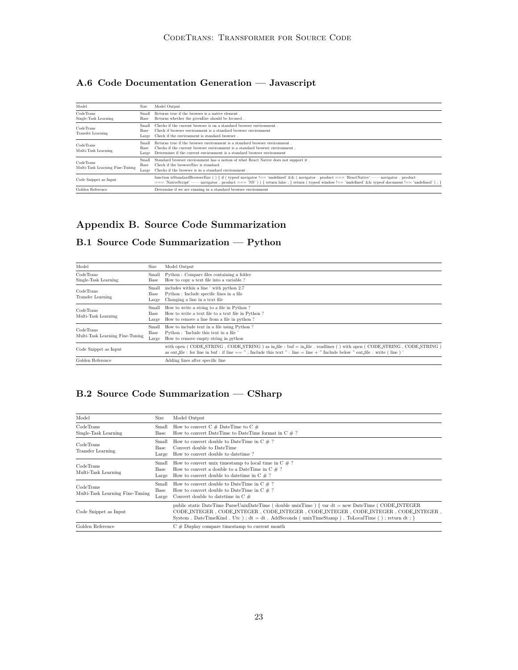## **A.6 Code Documentation Generation — Javascript**

| Model                                        | <b>Size</b>                   | Model Output                                                                                                                                                                                                                                                                                        |
|----------------------------------------------|-------------------------------|-----------------------------------------------------------------------------------------------------------------------------------------------------------------------------------------------------------------------------------------------------------------------------------------------------|
| CodeTrans<br>Single-Task Learning            | Small<br>Base                 | Returns true if the browser is a native element.<br>Returns whether the given Env should be focused.                                                                                                                                                                                                |
| CodeTrans<br><b>Transfer Learning</b>        | Small<br>Base<br>Large        | Checks if the current browser is on a standard browser environment.<br>Check if browser environment is a standard browser environment<br>Check if the environment is standard browser.                                                                                                              |
| CodeTrans<br>Multi-Task Learning             | Small<br><b>Base</b><br>Large | Returns true if the browser environment is a standard browser environment.<br>Checks if the current browser environment is a standard browser environment.<br>Determines if the current environment is a standard browser environment                                                               |
| CodeTrans<br>Multi-Task Learning Fine-Tuning | Small<br>Base<br>Large        | Standard browser environment has a notion of what React Native does not support it.<br>Check if the browserEnv is standard.<br>Checks if the browser is in a standard environment.                                                                                                                  |
| Code Snippet as Input                        |                               | function isStandardBrowserEnv () { if ( typeof navigator !== 'undefined' && ( navigator . product === 'ReactNative' — navigator . product<br>$==$ "NativeScript' — navigator . product $==$ "NS') { return false : } return ( typeof window !== 'undefined' && typeof document !== 'undefined') : } |
| Golden Reference                             |                               | Determine if we are running in a standard browser environment                                                                                                                                                                                                                                       |

## **Appendix B. Source Code Summarization**

## **B.1 Source Code Summarization — Python**

| Model                                        | Size                   | Model Output                                                                                                                                                                                                                                               |
|----------------------------------------------|------------------------|------------------------------------------------------------------------------------------------------------------------------------------------------------------------------------------------------------------------------------------------------------|
| CodeTrans<br>Single-Task Learning            | Small<br>Base          | Python: Compare files containing a folder<br>How to copy a text file into a variable?                                                                                                                                                                      |
| CodeTrans<br>Transfer Learning               | Small<br>Base<br>Large | includes within a line ' with python 2.7<br>Python : Include specific lines in a file<br>Changing a line in a text file                                                                                                                                    |
| CodeTrans<br>Multi-Task Learning             | Small<br>Base<br>Large | How to write a string to a file in Python?<br>How to write a text file to a text file in Python?<br>How to remove a line from a file in python?                                                                                                            |
| CodeTrans<br>Multi-Task Learning Fine-Tuning | Small<br>Base<br>Large | How to include text in a file using Python?<br>Python: 'Include this text in a file'<br>How to remove empty string in python                                                                                                                               |
| Code Snippet as Input                        |                        | with open (CODE STRING, CODE STRING) as in file: buf = in file. readlines () with open (CODE STRING, CODE STRING)<br>as out file : for line in buf : if line $==$ "; Include this text " : line $=$ line $+$ " Include below " out file . write ( line ) ' |
| Golden Reference                             |                        | Adding lines after specific line                                                                                                                                                                                                                           |

## **B.2 Source Code Summarization — CSharp**

| Model                                        | Size                   | Model Output                                                                                                                                                                                                                                                                                    |
|----------------------------------------------|------------------------|-------------------------------------------------------------------------------------------------------------------------------------------------------------------------------------------------------------------------------------------------------------------------------------------------|
| CodeTrans<br>Single-Task Learning            | Base                   | Small How to convert $C \#$ DateTime to $C \#$<br>How to convert DateTime to DateTime format in $C \neq ?$                                                                                                                                                                                      |
| CodeTrans<br>Transfer Learning               | Small<br>Base<br>Large | How to convert double to DateTime in $C \neq ?$<br>Convert double to DateTime<br>How to convert double to date time?                                                                                                                                                                            |
| CodeTrans<br>Multi-Task Learning             | Base<br>Large          | Small How to convert unix timestamp to local time in $C \# ?$<br>How to convert a double to a DateTime in $C \# ?$<br>How to convert double to date time in $C \neq ?$                                                                                                                          |
| CodeTrans<br>Multi-Task Learning Fine-Tuning | Small<br>Base<br>Large | How to convert double to DateTime in $C \neq ?$<br>How to convert double to DateTime in $C \neq ?$<br>Convert double to date time in $C \#$                                                                                                                                                     |
| Code Snippet as Input                        |                        | public static DateTime ParseUnixDateTime (double unixTime) { $var dt = new DateTime$ (CODE_INTEGER<br>CODE INTEGER, CODE INTEGER, CODE INTEGER, CODE INTEGER, CODE INTEGER, CODE INTEGER,<br>System . DateTimeKind . Utc); $dt = dt$ . AddSeconds (unixTimeStamp). ToLocalTime (); return dt; } |
| Golden Reference                             |                        | $C \#$ Display compare timestamp to current month                                                                                                                                                                                                                                               |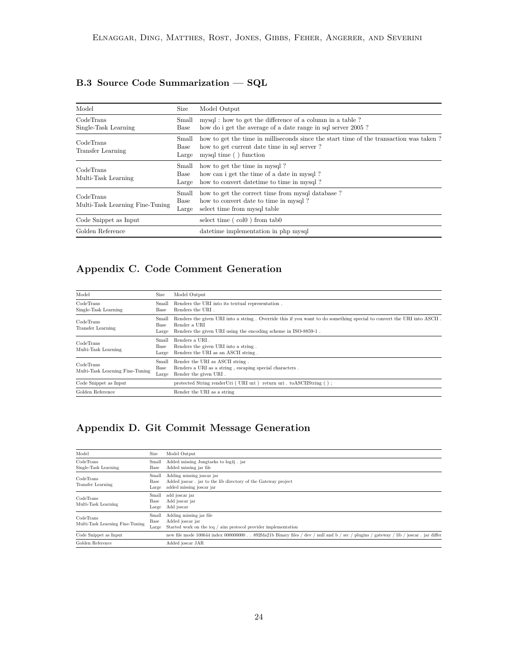## **B.3 Source Code Summarization — SQL**

| Model                                        | Size                   | Model Output                                                                                                                                                    |
|----------------------------------------------|------------------------|-----------------------------------------------------------------------------------------------------------------------------------------------------------------|
| CodeTrans<br>Single-Task Learning            | Small<br>Base          | mysql: how to get the difference of a column in a table?<br>how do i get the average of a date range in sql server 2005?                                        |
| CodeTrans<br>Transfer Learning               | Small<br>Base<br>Large | how to get the time in milliseconds since the start time of the transaction was taken?<br>how to get current date time in sql server?<br>mysql time () function |
| CodeTrans<br>Multi-Task Learning             | Small<br>Base<br>Large | how to get the time in mysql?<br>how can i get the time of a date in mysql?<br>how to convert date time to time in mysql?                                       |
| CodeTrans<br>Multi-Task Learning Fine-Tuning | Small<br>Base<br>Large | how to get the correct time from mysql database?<br>how to convert date to time in mysql?<br>select time from mysql table                                       |
| Code Snippet as Input                        |                        | select time $( col0 )$ from tab $0$                                                                                                                             |
| Golden Reference                             |                        | date time implementation in php mysql                                                                                                                           |

## **Appendix C. Code Comment Generation**

| Model                                                                  | Size                   | Model Output                                                                                                                                                                                           |
|------------------------------------------------------------------------|------------------------|--------------------------------------------------------------------------------------------------------------------------------------------------------------------------------------------------------|
| CodeTrans<br>Single-Task Learning                                      | Small<br>Base          | Renders the URI into its textual representation.<br>Renders the URI.                                                                                                                                   |
| CodeTrans<br>Transfer Learning                                         | Small<br>Base<br>Large | Renders the given URI into a string. Override this if you want to do something special to convert the URI into ASCII<br>Render a URI<br>Renders the given URI using the encoding scheme in ISO-8859-1. |
| CodeTrans<br>Multi-Task Learning                                       | Small<br>Base<br>Large | Renders a URI.<br>Renders the given URI into a string.<br>Renders the URI as an ASCII string.                                                                                                          |
| Small<br>CodeTrans<br>Base<br>Multi-Task Learning Fine-Tuning<br>Large |                        | Render the URI as ASCII string.<br>Renders a URI as a string, escaping special characters.<br>Render the given URI.                                                                                    |
| Code Snippet as Input                                                  |                        | protected String renderUri (URI uri) return uri . toASCIIString ();                                                                                                                                    |
| Golden Reference                                                       |                        | Render the URI as a string                                                                                                                                                                             |

## **Appendix D. Git Commit Message Generation**

| Model                                        | Size                   | Model Output                                                                                                                           |  |  |
|----------------------------------------------|------------------------|----------------------------------------------------------------------------------------------------------------------------------------|--|--|
| CodeTrans<br>Single-Task Learning            | Small<br>Base          | Added missing Jungtacks to log4j. jar<br>Added missing jar file                                                                        |  |  |
| CodeTrans<br>Transfer Learning               | Small<br>Base<br>Large | Adding missing joscar jar<br>Added joscar. jar to the lib directory of the Gateway project<br>added missing joscar jar                 |  |  |
| CodeTrans<br>Multi-Task Learning             | Small<br>Base<br>Large | add joscar jar<br>Add joscar jar<br>Add joscar                                                                                         |  |  |
| CodeTrans<br>Multi-Task Learning Fine-Tuning | Small<br>Base<br>Large | Adding missing jar file<br>Added joscar jar<br>Started work on the icq / aim protocol provider implementation                          |  |  |
| Code Snippet as Input                        |                        | new file mode 100644 index 000000000. . 892fda21b Binary files / dev / null and b / src / plugins / gateway / lib / joscar. jar differ |  |  |
| Golden Reference                             |                        | Added joscar JAR                                                                                                                       |  |  |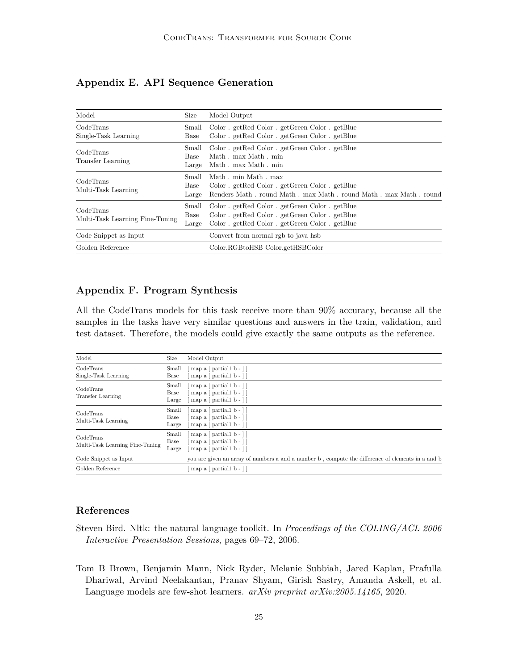| Model                                        | Size                   | Model Output                                                                                                                                       |
|----------------------------------------------|------------------------|----------------------------------------------------------------------------------------------------------------------------------------------------|
| CodeTrans<br>Single-Task Learning            | Small<br>Base          | Color . getRed Color . getGreen Color . getBlue<br>Color getRed Color getGreen Color getBlue                                                       |
| CodeTrans<br>Transfer Learning               | Small<br>Base<br>Large | Color . getRed Color . getGreen Color . getBlue<br>Math, max Math, min<br>Math. max Math. min                                                      |
| CodeTrans<br>Multi-Task Learning             | Small<br>Base<br>Large | Math, min Math, max<br>Color . getRed Color . getGreen Color . getBlue<br>Renders Math. round Math. max Math. round Math. max Math. round          |
| CodeTrans<br>Multi-Task Learning Fine-Tuning | Small<br>Base<br>Large | Color . getRed Color . getGreen Color . getBlue<br>Color. getRed Color. getGreen Color. getBlue<br>Color . getRed Color . getGreen Color . getBlue |
| Code Snippet as Input                        |                        | Convert from normal rgb to java hsb                                                                                                                |
| Golden Reference                             |                        | Color.RGBtoHSB Color.getHSBColor                                                                                                                   |

## **Appendix E. API Sequence Generation**

## **Appendix F. Program Synthesis**

All the CodeTrans models for this task receive more than 90% accuracy, because all the samples in the tasks have very similar questions and answers in the train, validation, and test dataset. Therefore, the models could give exactly the same outputs as the reference.

| Model                                        | Size                   | Model Output                                                                                                            |
|----------------------------------------------|------------------------|-------------------------------------------------------------------------------------------------------------------------|
| CodeTrans<br>Single-Task Learning            | Small<br>Base          | map a $\lceil$ partial 1 b - $\rceil$<br>map a $\lceil$ partial1 b - $\rceil$                                           |
| CodeTrans<br>Transfer Learning               | Small<br>Base<br>Large | map a $\lceil$ partial 1 b - $\rceil$<br>map a $\lceil$ partial 1 b - $\rceil$<br>map a $\lceil$ partial 1 b - $\rceil$ |
| CodeTrans<br>Multi-Task Learning             | Small<br>Base<br>Large | map a $\lceil$ partial 1 b - $\rceil$<br>map a $\lceil$ partial1 b - $\rceil$<br>map a $\lceil$ partial 1 b - $\rceil$  |
| CodeTrans<br>Multi-Task Learning Fine-Tuning | Small<br>Base<br>Large | map a $\lceil$ partial1 b - $\rceil$<br>map a $\lceil$ partial 1 b - $\rceil$<br>map a $\lceil$ partial 1 b - $\rceil$  |
| Code Snippet as Input                        |                        | you are given an array of numbers a and a number b, compute the difference of elements in a and b                       |
| Golden Reference                             |                        | map a $\lceil$ partial1 b - $\rceil$                                                                                    |

#### **References**

- <span id="page-24-1"></span>Steven Bird. Nltk: the natural language toolkit. In *Proceedings of the COLING/ACL 2006 Interactive Presentation Sessions*, pages 69–72, 2006.
- <span id="page-24-0"></span>Tom B Brown, Benjamin Mann, Nick Ryder, Melanie Subbiah, Jared Kaplan, Prafulla Dhariwal, Arvind Neelakantan, Pranav Shyam, Girish Sastry, Amanda Askell, et al. Language models are few-shot learners. *arXiv preprint arXiv:2005.14165*, 2020.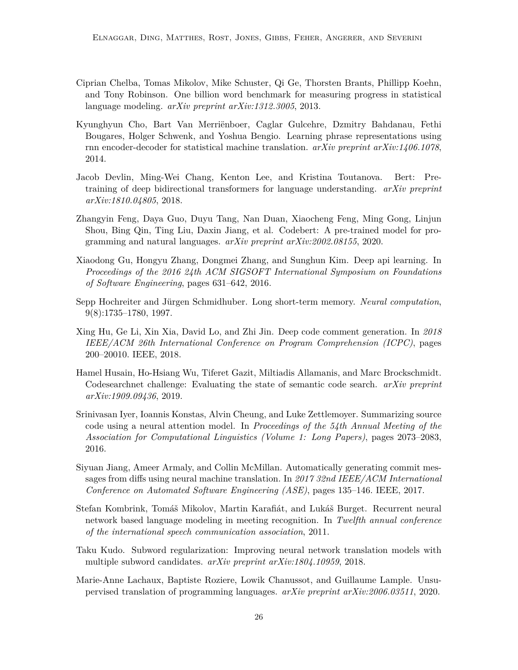- <span id="page-25-11"></span>Ciprian Chelba, Tomas Mikolov, Mike Schuster, Qi Ge, Thorsten Brants, Phillipp Koehn, and Tony Robinson. One billion word benchmark for measuring progress in statistical language modeling. *arXiv preprint arXiv:1312.3005*, 2013.
- <span id="page-25-3"></span>Kyunghyun Cho, Bart Van Merriënboer, Caglar Gulcehre, Dzmitry Bahdanau, Fethi Bougares, Holger Schwenk, and Yoshua Bengio. Learning phrase representations using rnn encoder-decoder for statistical machine translation. *arXiv preprint arXiv:1406.1078*, 2014.
- <span id="page-25-0"></span>Jacob Devlin, Ming-Wei Chang, Kenton Lee, and Kristina Toutanova. Bert: Pretraining of deep bidirectional transformers for language understanding. *arXiv preprint arXiv:1810.04805*, 2018.
- <span id="page-25-8"></span>Zhangyin Feng, Daya Guo, Duyu Tang, Nan Duan, Xiaocheng Feng, Ming Gong, Linjun Shou, Bing Qin, Ting Liu, Daxin Jiang, et al. Codebert: A pre-trained model for programming and natural languages. *arXiv preprint arXiv:2002.08155*, 2020.
- <span id="page-25-7"></span>Xiaodong Gu, Hongyu Zhang, Dongmei Zhang, and Sunghun Kim. Deep api learning. In *Proceedings of the 2016 24th ACM SIGSOFT International Symposium on Foundations of Software Engineering*, pages 631–642, 2016.
- <span id="page-25-2"></span>Sepp Hochreiter and Jürgen Schmidhuber. Long short-term memory. *Neural computation*, 9(8):1735–1780, 1997.
- <span id="page-25-5"></span>Xing Hu, Ge Li, Xin Xia, David Lo, and Zhi Jin. Deep code comment generation. In *2018 IEEE/ACM 26th International Conference on Program Comprehension (ICPC)*, pages 200–20010. IEEE, 2018.
- <span id="page-25-10"></span>Hamel Husain, Ho-Hsiang Wu, Tiferet Gazit, Miltiadis Allamanis, and Marc Brockschmidt. Codesearchnet challenge: Evaluating the state of semantic code search. *arXiv preprint arXiv:1909.09436*, 2019.
- <span id="page-25-4"></span>Srinivasan Iyer, Ioannis Konstas, Alvin Cheung, and Luke Zettlemoyer. Summarizing source code using a neural attention model. In *Proceedings of the 54th Annual Meeting of the Association for Computational Linguistics (Volume 1: Long Papers)*, pages 2073–2083, 2016.
- <span id="page-25-6"></span>Siyuan Jiang, Ameer Armaly, and Collin McMillan. Automatically generating commit messages from diffs using neural machine translation. In *2017 32nd IEEE/ACM International Conference on Automated Software Engineering (ASE)*, pages 135–146. IEEE, 2017.
- <span id="page-25-1"></span>Stefan Kombrink, Tomáš Mikolov, Martin Karafiát, and Lukáš Burget. Recurrent neural network based language modeling in meeting recognition. In *Twelfth annual conference of the international speech communication association*, 2011.
- <span id="page-25-12"></span>Taku Kudo. Subword regularization: Improving neural network translation models with multiple subword candidates. *arXiv preprint arXiv:1804.10959*, 2018.
- <span id="page-25-9"></span>Marie-Anne Lachaux, Baptiste Roziere, Lowik Chanussot, and Guillaume Lample. Unsupervised translation of programming languages. *arXiv preprint arXiv:2006.03511*, 2020.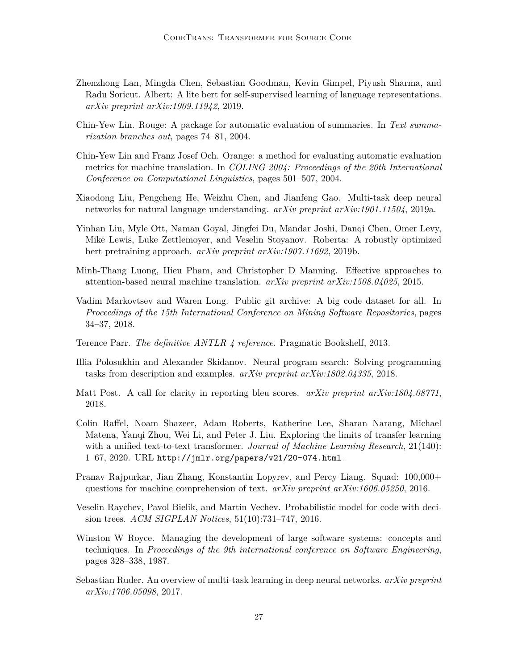- <span id="page-26-1"></span>Zhenzhong Lan, Mingda Chen, Sebastian Goodman, Kevin Gimpel, Piyush Sharma, and Radu Soricut. Albert: A lite bert for self-supervised learning of language representations. *arXiv preprint arXiv:1909.11942*, 2019.
- <span id="page-26-12"></span>Chin-Yew Lin. Rouge: A package for automatic evaluation of summaries. In *Text summarization branches out*, pages 74–81, 2004.
- <span id="page-26-13"></span>Chin-Yew Lin and Franz Josef Och. Orange: a method for evaluating automatic evaluation metrics for machine translation. In *COLING 2004: Proceedings of the 20th International Conference on Computational Linguistics*, pages 501–507, 2004.
- <span id="page-26-4"></span>Xiaodong Liu, Pengcheng He, Weizhu Chen, and Jianfeng Gao. Multi-task deep neural networks for natural language understanding. *arXiv preprint arXiv:1901.11504*, 2019a.
- <span id="page-26-2"></span>Yinhan Liu, Myle Ott, Naman Goyal, Jingfei Du, Mandar Joshi, Danqi Chen, Omer Levy, Mike Lewis, Luke Zettlemoyer, and Veselin Stoyanov. Roberta: A robustly optimized bert pretraining approach. *arXiv preprint arXiv:1907.11692*, 2019b.
- <span id="page-26-5"></span>Minh-Thang Luong, Hieu Pham, and Christopher D Manning. Effective approaches to attention-based neural machine translation. *arXiv preprint arXiv:1508.04025*, 2015.
- <span id="page-26-8"></span>Vadim Markovtsev and Waren Long. Public git archive: A big code dataset for all. In *Proceedings of the 15th International Conference on Mining Software Repositories*, pages 34–37, 2018.
- <span id="page-26-10"></span>Terence Parr. *The definitive ANTLR 4 reference*. Pragmatic Bookshelf, 2013.
- <span id="page-26-6"></span>Illia Polosukhin and Alexander Skidanov. Neural program search: Solving programming tasks from description and examples. *arXiv preprint arXiv:1802.04335*, 2018.
- <span id="page-26-11"></span>Matt Post. A call for clarity in reporting bleu scores. *arXiv preprint arXiv:1804.08771*, 2018.
- <span id="page-26-3"></span>Colin Raffel, Noam Shazeer, Adam Roberts, Katherine Lee, Sharan Narang, Michael Matena, Yanqi Zhou, Wei Li, and Peter J. Liu. Exploring the limits of transfer learning with a unified text-to-text transformer. *Journal of Machine Learning Research*, 21(140): 1–67, 2020. URL <http://jmlr.org/papers/v21/20-074.html>.
- <span id="page-26-14"></span>Pranav Rajpurkar, Jian Zhang, Konstantin Lopyrev, and Percy Liang. Squad: 100,000+ questions for machine comprehension of text. *arXiv preprint arXiv:1606.05250*, 2016.
- <span id="page-26-9"></span>Veselin Raychev, Pavol Bielik, and Martin Vechev. Probabilistic model for code with decision trees. *ACM SIGPLAN Notices*, 51(10):731–747, 2016.
- <span id="page-26-0"></span>Winston W Royce. Managing the development of large software systems: concepts and techniques. In *Proceedings of the 9th international conference on Software Engineering*, pages 328–338, 1987.
- <span id="page-26-7"></span>Sebastian Ruder. An overview of multi-task learning in deep neural networks. *arXiv preprint arXiv:1706.05098*, 2017.